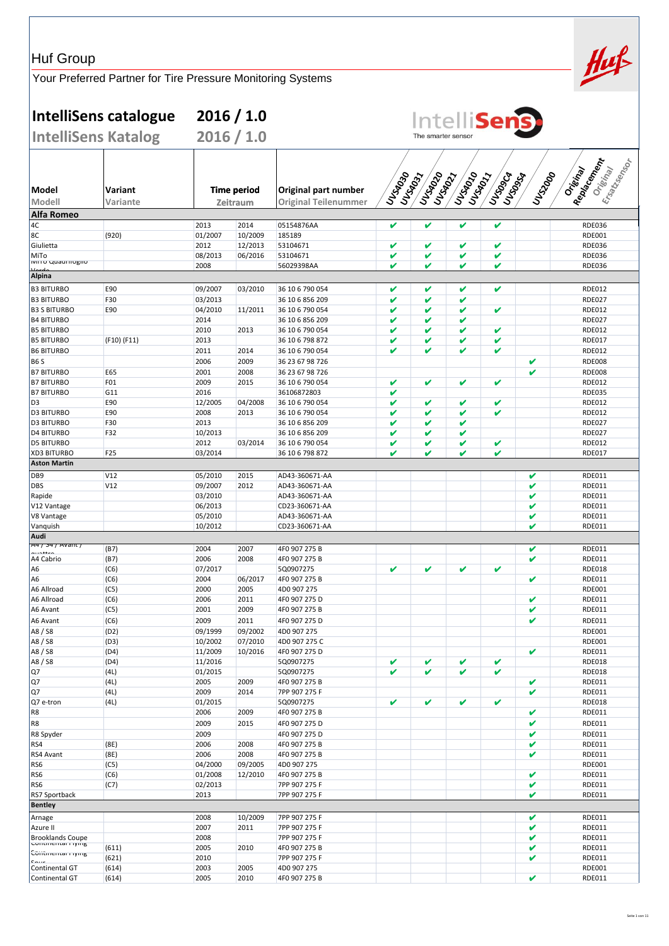| <b>Huf Group</b>                            |                                                             |                    |                                |                                                     |          |                      |            |                    |          | Huf                                                 |
|---------------------------------------------|-------------------------------------------------------------|--------------------|--------------------------------|-----------------------------------------------------|----------|----------------------|------------|--------------------|----------|-----------------------------------------------------|
|                                             | Your Preferred Partner for Tire Pressure Monitoring Systems |                    |                                |                                                     |          |                      |            |                    |          |                                                     |
|                                             | IntelliSens catalogue                                       |                    | 2016 / 1.0                     |                                                     |          |                      |            | <b>Intellisens</b> |          |                                                     |
|                                             | <b>IntelliSens Katalog</b>                                  |                    | 2016 / 1.0                     |                                                     |          | The smarter sensor   |            |                    |          |                                                     |
| Model<br>Modell                             | Variant<br>Variante                                         |                    | <b>Time period</b><br>Zeitraum | Original part number<br><b>Original Teilenummer</b> | IULSSOSS | University<br>Ursags | Unisage of | Unidography        | ULS-2000 | I Rondcement<br>Eraltzenge<br>Oristinal<br>Original |
| Alfa Romeo                                  |                                                             |                    |                                |                                                     |          |                      |            |                    |          |                                                     |
| 4C                                          |                                                             | 2013               | 2014                           | 05154876AA                                          | V        | $\mathbf{v}$         | V          | V                  |          | <b>RDE036</b>                                       |
| 8C                                          | (920)                                                       | 01/2007            | 10/2009                        | 185189                                              |          |                      |            |                    |          | <b>RDE001</b>                                       |
| Giulietta                                   |                                                             | 2012               | 12/2013                        | 53104671                                            | V<br>V   | v<br>V               | V          | V                  |          | <b>RDE036</b>                                       |
| MiTo<br>ινιπό Quaumogilo                    |                                                             | 08/2013<br>2008    | 06/2016                        | 53104671<br>56029398AA                              | V        | V                    | V<br>V     | V<br>V             |          | <b>RDE036</b><br><b>RDE036</b>                      |
| Alpina                                      |                                                             |                    |                                |                                                     |          |                      |            |                    |          |                                                     |
| <b>B3 BITURBO</b>                           | E90                                                         | 09/2007            | 03/2010                        | 36 10 6 790 054                                     | V        | V                    | V          | v                  |          | <b>RDE012</b>                                       |
| <b>B3 BITURBO</b>                           | F30                                                         | 03/2013            |                                | 36 10 6 856 209                                     | V        | V                    | V          |                    |          | <b>RDE027</b>                                       |
| <b>B3 S BITURBO</b>                         | E90                                                         | 04/2010            | 11/2011                        | 36 10 6 790 054                                     | V        | V                    | V          | V                  |          | <b>RDE012</b>                                       |
| <b>B4 BITURBO</b>                           |                                                             | 2014               |                                | 36 10 6 856 209                                     | V        | V                    | V          |                    |          | <b>RDE027</b>                                       |
| <b>B5 BITURBO</b>                           |                                                             | 2010               | 2013                           | 36 10 6 790 054                                     | V        | V                    | V          | V                  |          | <b>RDE012</b>                                       |
| <b>B5 BITURBO</b>                           | (F10) (F11)                                                 | 2013               |                                | 36 10 6 798 872                                     | V        | V                    | V          | V                  |          | <b>RDE017</b>                                       |
| <b>B6 BITURBO</b>                           |                                                             | 2011               | 2014                           | 36 10 6 790 054                                     | v        | V                    | V          | V                  |          | <b>RDE012</b>                                       |
| <b>B6S</b>                                  | E65                                                         | 2006<br>2001       | 2009<br>2008                   | 36 23 67 98 726                                     |          |                      |            |                    | V<br>V   | <b>RDE008</b><br><b>RDE008</b>                      |
| <b>B7 BITURBO</b><br><b>B7 BITURBO</b>      | F01                                                         | 2009               | 2015                           | 36 23 67 98 726<br>36 10 6 790 054                  | v        | V                    | v          | V                  |          | <b>RDE012</b>                                       |
| <b>B7 BITURBO</b>                           | G11                                                         | 2016               |                                | 36106872803                                         | V        |                      |            |                    |          | <b>RDE035</b>                                       |
| D <sub>3</sub>                              | E90                                                         | 12/2005            | 04/2008                        | 36 10 6 790 054                                     | V        | v                    | V          | v                  |          | <b>RDE012</b>                                       |
| <b>D3 BITURBO</b>                           | E90                                                         | 2008               | 2013                           | 36 10 6 790 054                                     | V        | V                    | V          | V                  |          | <b>RDE012</b>                                       |
| <b>D3 BITURBO</b>                           | F30                                                         | 2013               |                                | 36 10 6 856 209                                     | V        | V                    | V          |                    |          | <b>RDE027</b>                                       |
| <b>D4 BITURBO</b>                           | F32                                                         | 10/2013            |                                | 36 10 6 856 209                                     | V        | V                    | V          |                    |          | <b>RDE027</b>                                       |
| <b>D5 BITURBO</b>                           |                                                             | 2012               | 03/2014                        | 36 10 6 790 054                                     | V        | V                    | V          | V                  |          | <b>RDE012</b>                                       |
| <b>XD3 BITURBO</b><br><b>Aston Martin</b>   | F25                                                         | 03/2014            |                                | 36 10 6 798 872                                     | V        | V                    | V          | V                  |          | <b>RDE017</b>                                       |
| DB <sub>9</sub>                             | V12                                                         | 05/2010            | 2015                           | AD43-360671-AA                                      |          |                      |            |                    | V        | <b>RDE011</b>                                       |
| DBS                                         | V12                                                         | 09/2007            | 2012                           | AD43-360671-AA                                      |          |                      |            |                    | V        | <b>RDE011</b>                                       |
| Rapide                                      |                                                             | 03/2010            |                                | AD43-360671-AA                                      |          |                      |            |                    | V        | <b>RDE011</b>                                       |
| V12 Vantage                                 |                                                             | 06/2013            |                                | CD23-360671-AA                                      |          |                      |            |                    | V        | <b>RDE011</b>                                       |
| V8 Vantage                                  |                                                             | 05/2010            |                                | AD43-360671-AA                                      |          |                      |            |                    | V        | <b>RDE011</b>                                       |
| Vanquish                                    |                                                             | 10/2012            |                                | CD23-360671-AA                                      |          |                      |            |                    | V        | <b>RDE011</b>                                       |
| Audi<br><del>747 347 Avant</del>            |                                                             |                    |                                |                                                     |          |                      |            |                    |          |                                                     |
| مستقميته                                    | (B7)                                                        | 2004               | 2007                           | 4F0 907 275 B                                       |          |                      |            |                    | V        | RDE011                                              |
| A4 Cabrio<br>A6                             | (B7)                                                        | 2006<br>07/2017    | 2008                           | 4F0 907 275 B<br>5Q0907275                          | v        | V                    | V          | V                  | V        | RDE011<br><b>RDE018</b>                             |
| A6                                          | (C6)<br>(C6)                                                | 2004               | 06/2017                        | 4F0 907 275 B                                       |          |                      |            |                    | V        | RDE011                                              |
| A6 Allroad                                  | (C5)                                                        | 2000               | 2005                           | 4D0 907 275                                         |          |                      |            |                    |          | RDE001                                              |
| A6 Allroad                                  | (C6)                                                        | 2006               | 2011                           | 4F0 907 275 D                                       |          |                      |            |                    | V        | RDE011                                              |
| A6 Avant                                    | (C5)                                                        | 2001               | 2009                           | 4F0 907 275 B                                       |          |                      |            |                    | V        | RDE011                                              |
| A6 Avant                                    | (C6)                                                        | 2009               | 2011                           | 4F0 907 275 D                                       |          |                      |            |                    | V        | RDE011                                              |
| A8 / S8                                     | (D2)                                                        | 09/1999            | 09/2002                        | 4D0 907 275                                         |          |                      |            |                    |          | <b>RDE001</b>                                       |
| A8 / S8<br>A8 / S8                          | (D3)<br>(D4)                                                | 10/2002<br>11/2009 | 07/2010<br>10/2016             | 4D0 907 275 C<br>4F0 907 275 D                      |          |                      |            |                    | V        | <b>RDE001</b><br>RDE011                             |
| A8 / S8                                     | (D4)                                                        | 11/2016            |                                | 5Q0907275                                           | v        | V                    | V          | V                  |          | <b>RDE018</b>                                       |
| Q7                                          | (4L)                                                        | 01/2015            |                                | 5Q0907275                                           | v        | V                    | V          | V                  |          | <b>RDE018</b>                                       |
| Q7                                          | (4L)                                                        | 2005               | 2009                           | 4F0 907 275 B                                       |          |                      |            |                    | V        | RDE011                                              |
| Q7                                          | (4L)                                                        | 2009               | 2014                           | 7PP 907 275 F                                       |          |                      |            |                    | V        | RDE011                                              |
| Q7 e-tron                                   | (4L)                                                        | 01/2015            |                                | 5Q0907275                                           | v        | V                    | V          | V                  |          | <b>RDE018</b>                                       |
| R8                                          |                                                             | 2006               | 2009                           | 4F0 907 275 B                                       |          |                      |            |                    | V        | RDE011                                              |
| R8                                          |                                                             | 2009               | 2015                           | 4F0 907 275 D                                       |          |                      |            |                    | V        | RDE011                                              |
| R8 Spyder<br>RS4                            | (8E)                                                        | 2009<br>2006       | 2008                           | 4F0 907 275 D<br>4F0 907 275 B                      |          |                      |            |                    | V<br>V   | RDE011<br>RDE011                                    |
| RS4 Avant                                   | (8E)                                                        | 2006               | 2008                           | 4F0 907 275 B                                       |          |                      |            |                    | V        | RDE011                                              |
| RS6                                         | (C5)                                                        | 04/2000            | 09/2005                        | 4D0 907 275                                         |          |                      |            |                    |          | <b>RDE001</b>                                       |
| RS6                                         | (C6)                                                        | 01/2008            | 12/2010                        | 4F0 907 275 B                                       |          |                      |            |                    | V        | RDE011                                              |
| RS6                                         | (C7)                                                        | 02/2013            |                                | 7PP 907 275 F                                       |          |                      |            |                    | V        | RDE011                                              |
| RS7 Sportback                               |                                                             | 2013               |                                | 7PP 907 275 F                                       |          |                      |            |                    | V        | RDE011                                              |
| <b>Bentley</b>                              |                                                             |                    |                                |                                                     |          |                      |            |                    |          |                                                     |
| Arnage                                      |                                                             | 2008               | 10/2009                        | 7PP 907 275 F                                       |          |                      |            |                    | V        | RDE011                                              |
| Azure II                                    |                                                             | 2007               | 2011                           | 7PP 907 275 F                                       |          |                      |            |                    | V        | <b>RDE011</b>                                       |
| <b>Brooklands Coupe</b><br>Commentar riving | (611)                                                       | 2008<br>2005       | 2010                           | 7PP 907 275 F<br>4F0 907 275 B                      |          |                      |            |                    | V<br>V   | RDE011<br>RDE011                                    |
| Contmentar Flying                           | (621)                                                       | 2010               |                                | 7PP 907 275 F                                       |          |                      |            |                    | V        | RDE011                                              |
| $\sim$<br>Continental GT                    | (614)                                                       | 2003               | 2005                           | 4D0 907 275                                         |          |                      |            |                    |          | RDE001                                              |
|                                             |                                                             | 2005               | 2010                           | 4F0 907 275 B                                       |          |                      |            |                    | V        | RDE011                                              |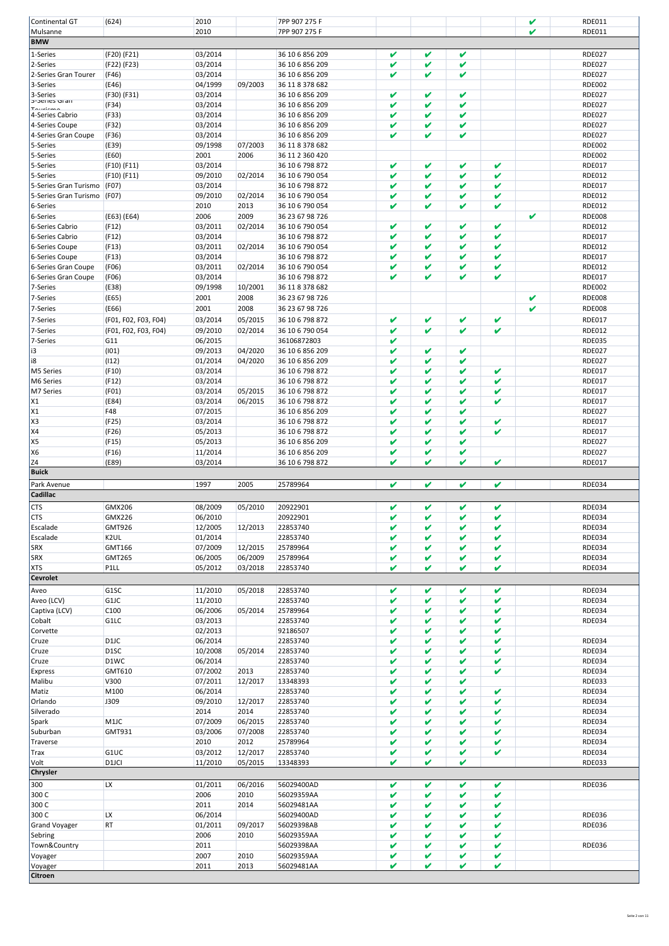| Continental GT        | (624)                | 2010    |         | 7PP 907 275 F   |              |              |              |              | V | RDE011        |
|-----------------------|----------------------|---------|---------|-----------------|--------------|--------------|--------------|--------------|---|---------------|
| Mulsanne              |                      | 2010    |         | 7PP 907 275 F   |              |              |              |              | M | RDE011        |
| <b>BMW</b>            |                      |         |         |                 |              |              |              |              |   |               |
| 1-Series              | (F20) (F21)          | 03/2014 |         | 36 10 6 856 209 | V            | V            | V            |              |   | <b>RDE027</b> |
| 2-Series              | (F22) (F23)          | 03/2014 |         | 36 10 6 856 209 | V            | V            | V            |              |   | <b>RDE027</b> |
| 2-Series Gran Tourer  | (F46)                | 03/2014 |         | 36 10 6 856 209 | V            | v            | V            |              |   | <b>RDE027</b> |
| 3-Series              | (E46)                | 04/1999 | 09/2003 | 36 11 8 378 682 |              |              |              |              |   | <b>RDE002</b> |
| 3-Series              | (F30) (F31)          | 03/2014 |         | 36 10 6 856 209 | V            | V            | V            |              |   | <b>RDE027</b> |
| 3-Series Gran         | (F34)                | 03/2014 |         | 36 10 6 856 209 | V            | V            | V            |              |   | <b>RDE027</b> |
| 4-Series Cabrio       | (F33)                | 03/2014 |         | 36 10 6 856 209 | v            | V            | V            |              |   | <b>RDE027</b> |
| 4-Series Coupe        | (F32)                | 03/2014 |         | 36 10 6 856 209 | V            | V            | V            |              |   | <b>RDE027</b> |
| 4-Series Gran Coupe   | (F36)                | 03/2014 |         | 36 10 6 856 209 | V            | v            | V            |              |   | <b>RDE027</b> |
| 5-Series              | (E39)                | 09/1998 | 07/2003 | 36 11 8 378 682 |              |              |              |              |   | <b>RDE002</b> |
| 5-Series              | (E60)                | 2001    | 2006    | 36 11 2 360 420 |              |              |              |              |   | <b>RDE002</b> |
| 5-Series              | (F10) (F11)          | 03/2014 |         | 36 10 6 798 872 | V            | V            | V            | V            |   | <b>RDE017</b> |
| 5-Series              | (F10) (F11)          | 09/2010 | 02/2014 | 36 10 6 790 054 | v            | V            | V            | V            |   | <b>RDE012</b> |
| 5-Series Gran Turismo | (F07)                | 03/2014 |         | 36 10 6 798 872 | V            | V            | V            | V            |   | <b>RDE017</b> |
| 5-Series Gran Turismo | (F07)                | 09/2010 | 02/2014 | 36 10 6 790 054 | V            | V            | V            | V            |   | <b>RDE012</b> |
| 6-Series              |                      | 2010    | 2013    | 36 10 6 790 054 | V            | V            | V            | V            |   | <b>RDE012</b> |
| 6-Series              | (E63) (E64)          | 2006    | 2009    | 36 23 67 98 726 |              |              |              |              | V | <b>RDE008</b> |
| 6-Series Cabrio       | (F12)                | 03/2011 | 02/2014 | 36 10 6 790 054 | V            | V            | V            | V            |   | <b>RDE012</b> |
| 6-Series Cabrio       | (F12)                | 03/2014 |         | 36 10 6 798 872 | V            | V            | V            | V            |   | <b>RDE017</b> |
| 6-Series Coupe        | (F13)                | 03/2011 | 02/2014 | 36 10 6 790 054 | V            | V            | V            | V            |   | <b>RDE012</b> |
| 6-Series Coupe        | (F13)                | 03/2014 |         | 36 10 6 798 872 | v            | V            | V            | V            |   | <b>RDE017</b> |
| 6-Series Gran Coupe   | (F06)                | 03/2011 | 02/2014 | 36 10 6 790 054 | v            | V            | V            | V            |   | <b>RDE012</b> |
| 6-Series Gran Coupe   | (F06)                | 03/2014 |         | 36 10 6 798 872 | V            | V            | V            | V            |   | <b>RDE017</b> |
| 7-Series              | (E38)                | 09/1998 | 10/2001 | 36 11 8 378 682 |              |              |              |              |   | <b>RDE002</b> |
| 7-Series              | (E65)                | 2001    | 2008    | 36 23 67 98 726 |              |              |              |              | V | <b>RDE008</b> |
| 7-Series              | (E66)                | 2001    | 2008    | 36 23 67 98 726 |              |              |              |              | V | <b>RDE008</b> |
| 7-Series              | (F01, F02, F03, F04) | 03/2014 | 05/2015 | 36 10 6 798 872 | V            | V            | V            | V            |   | <b>RDE017</b> |
| 7-Series              | (F01, F02, F03, F04) | 09/2010 | 02/2014 | 36 10 6 790 054 | v            | V            | V            | V            |   | <b>RDE012</b> |
| 7-Series              | G11                  | 06/2015 |         | 36106872803     | V            |              |              |              |   | <b>RDE035</b> |
| i3                    | (101)                | 09/2013 | 04/2020 | 36 10 6 856 209 | V            | V            | V            |              |   | <b>RDE027</b> |
| i8                    | (112)                | 01/2014 | 04/2020 | 36 10 6 856 209 | V            | V            | V            |              |   | <b>RDE027</b> |
| M5 Series             | (F10)                | 03/2014 |         | 36 10 6 798 872 | V            | V            | V            | V            |   | <b>RDE017</b> |
| M6 Series             | (F12)                | 03/2014 |         | 36 10 6 798 872 | V            | V            | V            | V            |   | <b>RDE017</b> |
| M7 Series             | (F01)                | 03/2014 | 05/2015 | 36 10 6 798 872 | V            | V            | V            | V            |   | <b>RDE017</b> |
| X1                    | (E84)                | 03/2014 | 06/2015 | 36 10 6 798 872 | V            | V            | V            | V            |   | <b>RDE017</b> |
| X1                    | F48                  | 07/2015 |         | 36 10 6 856 209 | V            | V            | V            |              |   | <b>RDE027</b> |
| X <sub>3</sub>        | (F25)                | 03/2014 |         | 36 10 6 798 872 | V            | V            | V            | V            |   | <b>RDE017</b> |
| <b>X4</b>             | (F26)                | 05/2013 |         | 36 10 6 798 872 | V            | V            | V            | V            |   | <b>RDE017</b> |
| X <sub>5</sub>        | (F15)                | 05/2013 |         | 36 10 6 856 209 | V            | V            | V            |              |   | <b>RDE027</b> |
| X6                    | (F16)                | 11/2014 |         | 36 10 6 856 209 | V            | V            | V            |              |   | <b>RDE027</b> |
| Z4                    | (E89)                | 03/2014 |         | 36 10 6 798 872 | V            | V            | V            | V            |   | <b>RDE017</b> |
| <b>Buick</b>          |                      |         |         |                 |              |              |              |              |   |               |
| Park Avenue           |                      | 1997    | 2005    | 25789964        | V            | V            | V            | V            |   | <b>RDE034</b> |
| Cadillac              |                      |         |         |                 |              |              |              |              |   |               |
| <b>CTS</b>            | GMX206               | 08/2009 | 05/2010 | 20922901        | V            | V            | V            | V            |   | <b>RDE034</b> |
| <b>CTS</b>            | GMX226               | 06/2010 |         | 20922901        | $\mathbf{v}$ | $\mathbf{z}$ | $\mathbf{v}$ | $\mathbf{v}$ |   | <b>RDE034</b> |
| Escalade              | GMT926               | 12/2005 | 12/2013 | 22853740        | V            | V            | V            | V            |   | <b>RDE034</b> |
| Escalade              | K2UL                 | 01/2014 |         | 22853740        | V            | V            | V            | V            |   | <b>RDE034</b> |
| <b>SRX</b>            | GMT166               | 07/2009 | 12/2015 | 25789964        | V            | V            | V            | V            |   | <b>RDE034</b> |
| <b>SRX</b>            | GMT265               | 06/2005 | 06/2009 | 25789964        | V            | V            | V            | V            |   | <b>RDE034</b> |
| <b>XTS</b>            | P1LL                 | 05/2012 | 03/2018 | 22853740        | V            | V            | V            | V            |   | <b>RDE034</b> |
| <b>Cevrolet</b>       |                      |         |         |                 |              |              |              |              |   |               |
| Aveo                  | G1SC                 | 11/2010 | 05/2018 | 22853740        | V            | V            | V            | V            |   | <b>RDE034</b> |
| Aveo (LCV)            | G1JC                 | 11/2010 |         | 22853740        | V            | V            | V            | V            |   | <b>RDE034</b> |
| Captiva (LCV)         | C <sub>100</sub>     | 06/2006 | 05/2014 | 25789964        | V            | V            | V            | V            |   | <b>RDE034</b> |
| Cobalt                | G1LC                 | 03/2013 |         | 22853740        | V            | V            | V            | V            |   | <b>RDE034</b> |
| Corvette              |                      | 02/2013 |         | 92186507        | V            | V            | V            | V            |   |               |
| Cruze                 | D1JC                 | 06/2014 |         | 22853740        | V            | V            | V            | V            |   | <b>RDE034</b> |
| Cruze                 | D <sub>1</sub> SC    | 10/2008 | 05/2014 | 22853740        | V            | V            | V            | V            |   | <b>RDE034</b> |
| Cruze                 | D1WC                 | 06/2014 |         | 22853740        | V            | V            | V            | V            |   | <b>RDE034</b> |
| <b>Express</b>        | GMT610               | 07/2002 | 2013    | 22853740        | V            | V            | V            | V            |   | <b>RDE034</b> |
| Malibu                | V300                 | 07/2011 | 12/2017 | 13348393        | V            | V            | V            |              |   | RDE033        |
| Matiz                 | M100                 | 06/2014 |         | 22853740        | V            | V            | V            | V            |   | <b>RDE034</b> |
| Orlando               | J309                 | 09/2010 | 12/2017 | 22853740        | V            | V            | V            | V            |   | <b>RDE034</b> |
| Silverado             |                      | 2014    | 2014    | 22853740        | V            | V            | V            | V            |   | <b>RDE034</b> |
| Spark                 | M1JC                 | 07/2009 | 06/2015 | 22853740        | V            | V            | V            | V            |   | <b>RDE034</b> |
| Suburban              | GMT931               | 03/2006 | 07/2008 | 22853740        | V            | V            | V            | V            |   | <b>RDE034</b> |
| Traverse              |                      | 2010    | 2012    | 25789964        | V            | V            | V            | V            |   | <b>RDE034</b> |
| Trax                  | G1UC                 | 03/2012 | 12/2017 | 22853740        | V            | V            | V            | V            |   | <b>RDE034</b> |
| Volt                  | D <sub>1</sub> JCI   | 11/2010 | 05/2015 | 13348393        | V            | V            | V            |              |   | RDE033        |
| Chrysler              |                      |         |         |                 |              |              |              |              |   |               |
| 300                   | LX                   | 01/2011 | 06/2016 | 56029400AD      | V            | V            | V            | V            |   | <b>RDE036</b> |
| 300 C                 |                      | 2006    | 2010    | 56029359AA      | V            | V            | V            | V            |   |               |
| 300 C                 |                      | 2011    | 2014    | 56029481AA      | V            | V            | V            | V            |   |               |
| 300 C                 | LX                   | 06/2014 |         | 56029400AD      | V            | V            | V            | V            |   | <b>RDE036</b> |
| <b>Grand Voyager</b>  | RT                   | 01/2011 | 09/2017 | 56029398AB      | V            | V            | V            | V            |   | <b>RDE036</b> |
| Sebring               |                      | 2006    | 2010    | 56029359AA      | V            | V            | V            | V            |   |               |
| Town&Country          |                      | 2011    |         | 56029398AA      | V            | V            | V            | V            |   | <b>RDE036</b> |
| Voyager               |                      | 2007    | 2010    | 56029359AA      | V            | V            | V            | V            |   |               |
| Voyager               |                      | 2011    | 2013    | 56029481AA      | V            | V            | V            | V            |   |               |
| Citroen               |                      |         |         |                 |              |              |              |              |   |               |

Seite 2 von 11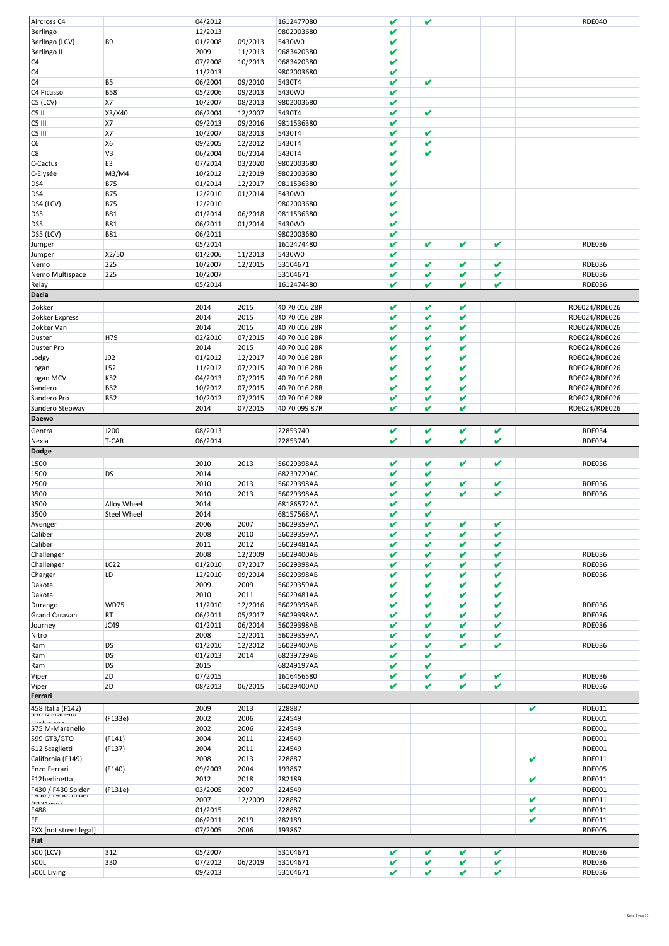| Aircross C4                   |                    | 04/2012            |         | 1612477080           | V                          | V      |        |              |   | <b>RDE040</b>                  |
|-------------------------------|--------------------|--------------------|---------|----------------------|----------------------------|--------|--------|--------------|---|--------------------------------|
| Berlingo                      |                    | 12/2013            |         | 9802003680           | V                          |        |        |              |   |                                |
| Berlingo (LCV)                | B9                 | 01/2008            | 09/2013 | 5430W0               | V                          |        |        |              |   |                                |
| Berlingo II                   |                    | 2009               | 11/2013 | 9683420380           | V                          |        |        |              |   |                                |
| C <sub>4</sub>                |                    | 07/2008            | 10/2013 | 9683420380           | V                          |        |        |              |   |                                |
| C <sub>4</sub>                |                    | 11/2013            |         | 9802003680           | V                          |        |        |              |   |                                |
| C <sub>4</sub>                | B <sub>5</sub>     | 06/2004            | 09/2010 | 5430T4               | V                          | V      |        |              |   |                                |
| C4 Picasso                    | <b>B58</b>         | 05/2006            | 09/2013 | 5430W0               | V                          |        |        |              |   |                                |
| C5 (LCV)                      | <b>X7</b>          | 10/2007            | 08/2013 | 9802003680           | V                          |        |        |              |   |                                |
| CS II                         | X3/X40             | 06/2004            | 12/2007 | 5430T4               | V                          | V      |        |              |   |                                |
| C5 III                        | <b>X7</b>          | 09/2013            | 09/2016 | 9811536380           | V                          |        |        |              |   |                                |
| C5 III                        | X7                 | 10/2007            | 08/2013 | 5430T4               | V                          | V      |        |              |   |                                |
|                               |                    |                    |         |                      |                            | V      |        |              |   |                                |
| C6                            | <b>X6</b>          | 09/2005            | 12/2012 | 5430T4               | V                          | V      |        |              |   |                                |
| $\overline{\text{C8}}$        | V3                 | 06/2004            | 06/2014 | 5430T4               | V                          |        |        |              |   |                                |
| C-Cactus                      | E3                 | 07/2014            | 03/2020 | 9802003680           | V                          |        |        |              |   |                                |
| C-Elysée                      | M3/M4              | 10/2012            | 12/2019 | 9802003680           | V                          |        |        |              |   |                                |
| DS4                           | <b>B75</b>         | 01/2014            | 12/2017 | 9811536380           | V                          |        |        |              |   |                                |
| DS4                           | <b>B75</b>         | 12/2010            | 01/2014 | 5430W0               | V                          |        |        |              |   |                                |
| DS4 (LCV)                     | <b>B75</b>         | 12/2010            |         | 9802003680           | V                          |        |        |              |   |                                |
| DS5                           | <b>B81</b>         | 01/2014            | 06/2018 | 9811536380           | V                          |        |        |              |   |                                |
| DS5                           | <b>B81</b>         | 06/2011            | 01/2014 | 5430W0               | V                          |        |        |              |   |                                |
| DS5 (LCV)                     | <b>B81</b>         | 06/2011            |         | 9802003680           | V                          |        |        |              |   |                                |
| Jumper                        |                    | 05/2014            |         | 1612474480           | V                          | V      | V      | V            |   | <b>RDE036</b>                  |
| Jumper                        | X2/50              | 01/2006            | 11/2013 | 5430W0               | V                          |        |        |              |   |                                |
| Nemo                          | 225                | 10/2007            | 12/2015 | 53104671             | V                          | V      | V      | V            |   | <b>RDE036</b>                  |
| Nemo Multispace               | 225                | 10/2007            |         | 53104671             | V                          | V      | V      | V            |   | <b>RDE036</b>                  |
| Relay                         |                    | 05/2014            |         | 1612474480           | V                          | V      | V      | V            |   | <b>RDE036</b>                  |
| Dacia                         |                    |                    |         |                      |                            |        |        |              |   |                                |
| Dokker                        |                    | 2014               | 2015    | 40 70 016 28R        | V                          | V      | V      |              |   | RDE024/RDE026                  |
| <b>Dokker Express</b>         |                    | 2014               | 2015    | 40 70 016 28R        | V                          | V      | V      |              |   | RDE024/RDE026                  |
| Dokker Van                    |                    | 2014               | 2015    | 40 70 016 28R        | V                          | V      | V      |              |   | RDE024/RDE026                  |
| Duster                        | H79                | 02/2010            | 07/2015 | 40 70 016 28R        | V                          | V      | V      |              |   | RDE024/RDE026                  |
|                               |                    | 2014               | 2015    |                      | V                          | V      | V      |              |   | RDE024/RDE026                  |
| <b>Duster Pro</b>             | J92                | 01/2012            | 12/2017 | 40 70 016 28R        | V                          | V      | V      |              |   | RDE024/RDE026                  |
| Lodgy                         |                    |                    |         | 40 70 016 28R        |                            |        |        |              |   |                                |
| Logan                         | L52                | 11/2012            | 07/2015 | 40 70 016 28R        | V                          | V      | V      |              |   | RDE024/RDE026                  |
| Logan MCV                     | K52                | 04/2013            | 07/2015 | 40 70 016 28R        | V                          | V      | V      |              |   | RDE024/RDE026                  |
| Sandero                       | <b>B52</b>         | 10/2012            | 07/2015 | 40 70 016 28R        | V                          | V      | V      |              |   | RDE024/RDE026                  |
| Sandero Pro                   | <b>B52</b>         | 10/2012            | 07/2015 | 40 70 016 28R        | V                          | V      | V      |              |   | RDE024/RDE026                  |
| Sandero Stepway               |                    | 2014               | 07/2015 | 40 70 099 87R        | V                          | V      | V      |              |   | RDE024/RDE026                  |
| <b>Daewo</b>                  |                    |                    |         |                      |                            |        |        |              |   |                                |
| Gentra                        | J200               | 08/2013            |         | 22853740             | V                          | V      | V      | V            |   | <b>RDE034</b>                  |
| Nexia                         | T-CAR              | 06/2014            |         | 22853740             | V                          | V      | V      | V            |   | <b>RDE034</b>                  |
|                               |                    |                    |         |                      |                            |        |        |              |   |                                |
| <b>Dodge</b>                  |                    |                    |         |                      |                            |        |        |              |   |                                |
|                               |                    |                    |         |                      |                            |        |        |              |   |                                |
| 1500                          |                    | 2010               | 2013    | 56029398AA           | V                          | V      | V      | V            |   | <b>RDE036</b>                  |
| 1500                          | DS                 | 2014               |         | 68239720AC           | V                          | V      |        |              |   |                                |
| 2500                          |                    | 2010               | 2013    | 56029398AA           | V                          | V      | V      | V            |   | <b>RDE036</b>                  |
| 3500                          |                    | 2010               | 2013    | 56029398AA           | V                          | V      | V      | V            |   | <b>RDE036</b>                  |
| 3500                          | Alloy Wheel        | 2014               |         | 68186572AA           | V                          | V      |        |              |   |                                |
| 3500                          | <b>Steel Wheel</b> | 2014               |         | 68157568AA           | V                          | V      |        |              |   |                                |
| Avenger                       |                    | 2006               | 2007    | 56029359AA           | v                          | V      | V      | V            |   |                                |
| Caliber                       |                    | 2008               | 2010    | 56029359AA           | V                          | V      | V      | V            |   |                                |
| Caliber                       |                    | 2011               | 2012    | 56029481AA           | V                          | V      | V      | V            |   |                                |
| Challenger                    |                    | 2008               | 12/2009 | 56029400AB           | V                          | V      | v      | V            |   | <b>RDE036</b>                  |
| Challenger                    | <b>LC22</b>        | 01/2010            | 07/2017 | 56029398AA           | V                          | V      | V      | V            |   | <b>RDE036</b>                  |
| Charger                       | LD                 | 12/2010            | 09/2014 | 56029398AB           | V                          | v      | v      | V            |   | <b>RDE036</b>                  |
| Dakota                        |                    | 2009               | 2009    | 56029359AA           | V                          | V      | V      | V            |   |                                |
| Dakota                        |                    | 2010               | 2011    | 56029481AA           | V                          | V      | v      | V            |   |                                |
| Durango                       | <b>WD75</b>        | 11/2010            | 12/2016 | 56029398AB           | V                          | V      | V      | V            |   | <b>RDE036</b>                  |
| <b>Grand Caravan</b>          | RT                 | 06/2011            | 05/2017 | 56029398AA           | V                          | V      | v      | V            |   | <b>RDE036</b>                  |
| Journey                       | JC49               | 01/2011            | 06/2014 | 56029398AB           | V                          | V      | V      | $\checkmark$ |   | <b>RDE036</b>                  |
| Nitro                         |                    | 2008               | 12/2011 | 56029359AA           | $\boldsymbol{\mathcal{U}}$ | V      | v      | V            |   |                                |
| Ram                           | DS                 | 01/2010            | 12/2012 | 56029400AB           | V                          | V      | V      | V            |   | <b>RDE036</b>                  |
| Ram                           | DS                 | 01/2013            | 2014    | 68239729AB           | V                          | V      |        |              |   |                                |
| Ram                           | DS                 | 2015               |         | 68249197AA           | V                          | V      |        |              |   |                                |
| Viper                         | ZD                 | 07/2015            |         | 1616456580           | V                          | V      | V      | V            |   | <b>RDE036</b>                  |
| Viper                         | ZD                 | 08/2013            | 06/2015 | 56029400AD           | V                          | V      | V      | V            |   | <b>RDE036</b>                  |
| Ferrari                       |                    |                    |         |                      |                            |        |        |              |   |                                |
| 458 Italia (F142)             |                    | 2009               | 2013    | 228887               |                            |        |        |              | V | <b>RDE011</b>                  |
| <b>JJU IVIALATIEIIU</b>       | (F133e)            | 2002               | 2006    | 224549               |                            |        |        |              |   | <b>RDE001</b>                  |
| مممثسالمنت<br>575 M-Maranello |                    | 2002               | 2006    | 224549               |                            |        |        |              |   | <b>RDE001</b>                  |
| 599 GTB/GTO                   | (F141)             | 2004               | 2011    | 224549               |                            |        |        |              |   | <b>RDE001</b>                  |
|                               |                    | 2004               | 2011    | 224549               |                            |        |        |              |   | <b>RDE001</b>                  |
| 612 Scaglietti                | (F137)             | 2008               | 2013    | 228887               |                            |        |        |              | V |                                |
| California (F149)             |                    |                    |         |                      |                            |        |        |              |   | <b>RDE011</b>                  |
| Enzo Ferrari                  | (F140)             | 09/2003            | 2004    | 193867               |                            |        |        |              | V | <b>RDE005</b>                  |
| F12berlinetta                 |                    | 2012               | 2018    | 282189               |                            |        |        |              |   | <b>RDE011</b>                  |
| F430 / F430 Spider            | (F131e)            | 03/2005            | 2007    | 224549               |                            |        |        |              |   | <b>RDE001</b>                  |
| $\sqrt{2}$                    |                    | 2007               | 12/2009 | 228887               |                            |        |        |              | V | <b>RDE011</b>                  |
| F488                          |                    | 01/2015            |         | 228887               |                            |        |        |              | V | <b>RDE011</b>                  |
| FF                            |                    | 06/2011            | 2019    | 282189               |                            |        |        |              | V | <b>RDE011</b>                  |
| <b>FXX</b> [not street legal] |                    | 07/2005            | 2006    | 193867               |                            |        |        |              |   | <b>RDE005</b>                  |
| Fiat                          |                    |                    |         |                      |                            |        |        |              |   |                                |
| 500 (LCV)                     | 312                | 05/2007            |         | 53104671             | V                          | V      | V      | V            |   | <b>RDE036</b>                  |
| 500L<br>500L Living           | 330                | 07/2012<br>09/2013 | 06/2019 | 53104671<br>53104671 | V<br>V                     | V<br>V | V<br>V | V<br>V       |   | <b>RDE036</b><br><b>RDE036</b> |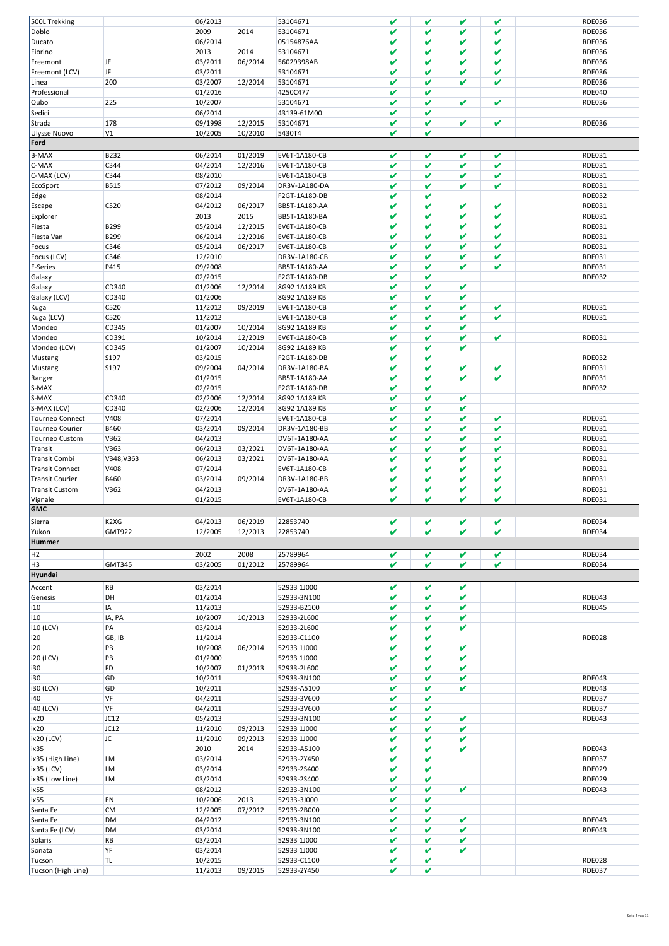| 500L Trekking                |               | 06/2013            |         | 53104671                   | v      | V      | V | v | RDE036                         |
|------------------------------|---------------|--------------------|---------|----------------------------|--------|--------|---|---|--------------------------------|
| Doblo                        |               | 2009               | 2014    | 53104671                   | V      | V      | V | v | <b>RDE036</b>                  |
|                              |               |                    |         |                            |        |        |   |   |                                |
| Ducato                       |               | 06/2014            |         | 05154876AA                 | V      | V      | V | V | <b>RDE036</b>                  |
| Fiorino                      |               | 2013               | 2014    | 53104671                   | V      | V      | V | V | <b>RDE036</b>                  |
|                              |               |                    |         |                            |        |        |   |   |                                |
| Freemont                     | JF            | 03/2011            | 06/2014 | 56029398AB                 | V      | V      | V | V | <b>RDE036</b>                  |
| Freemont (LCV)               | JF            | 03/2011            |         | 53104671                   | V      | V      | V | V | <b>RDE036</b>                  |
|                              |               |                    |         |                            |        |        |   |   |                                |
| Linea                        | 200           | 03/2007            | 12/2014 | 53104671                   | V      | V      | V | V | <b>RDE036</b>                  |
| Professional                 |               | 01/2016            |         | 4250C477                   | V      | V      |   |   | <b>RDE040</b>                  |
|                              |               |                    |         |                            |        |        |   |   |                                |
| Qubo                         | 225           | 10/2007            |         | 53104671                   | V      | V      | V | V | <b>RDE036</b>                  |
| Sedici                       |               | 06/2014            |         | 43139-61M00                | V      | V      |   |   |                                |
|                              |               |                    |         |                            |        |        |   |   |                                |
| Strada                       | 178           | 09/1998            | 12/2015 | 53104671                   | V      | V      | V | V | <b>RDE036</b>                  |
| Ulysse Nuovo                 | V1            | 10/2005            | 10/2010 | 5430T4                     | V      | V      |   |   |                                |
|                              |               |                    |         |                            |        |        |   |   |                                |
| Ford                         |               |                    |         |                            |        |        |   |   |                                |
|                              |               |                    |         |                            |        |        |   |   |                                |
| <b>B-MAX</b>                 | B232          | 06/2014            | 01/2019 | EV6T-1A180-CB              | V      | V      | V | v | RDE031                         |
| C-MAX                        | C344          | 04/2014            | 12/2016 | EV6T-1A180-CB              | V      | V      | V | V | RDE031                         |
|                              |               |                    |         |                            |        |        |   |   |                                |
| C-MAX (LCV)                  | C344          | 08/2010            |         | EV6T-1A180-CB              | V      | V      | V | V | RDE031                         |
| EcoSport                     | B515          | 07/2012            | 09/2014 | DR3V-1A180-DA              | v      | V      | V | V | RDE031                         |
|                              |               |                    |         |                            |        |        |   |   |                                |
| Edge                         |               | 08/2014            |         | F2GT-1A180-DB              | V      | V      |   |   | <b>RDE032</b>                  |
|                              | C520          | 04/2012            | 06/2017 | BB5T-1A180-AA              | V      | V      | V | V | RDE031                         |
| Escape                       |               |                    |         |                            |        |        |   |   |                                |
| Explorer                     |               | 2013               | 2015    | BB5T-1A180-BA              | V      | V      | V | V | RDE031                         |
|                              | B299          | 05/2014            |         |                            | v      | V      | V | V |                                |
| Fiesta                       |               |                    | 12/2015 | EV6T-1A180-CB              |        |        |   |   | RDE031                         |
| Fiesta Van                   | B299          | 06/2014            | 12/2016 | EV6T-1A180-CB              | V      | V      | V | V | RDE031                         |
|                              |               |                    |         |                            |        |        |   |   |                                |
| Focus                        | C346          | 05/2014            | 06/2017 | EV6T-1A180-CB              | V      | V      | V | V | RDE031                         |
| Focus (LCV)                  | C346          | 12/2010            |         | DR3V-1A180-CB              | V      | V      | V | V | RDE031                         |
|                              |               |                    |         |                            |        |        |   |   |                                |
| <b>F-Series</b>              | P415          | 09/2008            |         | BB5T-1A180-AA              | v      | V      | V | V | RDE031                         |
| Galaxy                       |               | 02/2015            |         | F2GT-1A180-DB              | V      | V      |   |   | <b>RDE032</b>                  |
|                              |               |                    |         |                            |        |        |   |   |                                |
| Galaxy                       | CD340         | 01/2006            | 12/2014 | 8G92 1A189 KB              | V      | V      | V |   |                                |
| Galaxy (LCV)                 | CD340         | 01/2006            |         | 8G92 1A189 KB              | V      | V      | V |   |                                |
|                              |               |                    |         |                            |        |        |   |   |                                |
| Kuga                         | C520          | 11/2012            | 09/2019 | EV6T-1A180-CB              | V      | V      | V | V | RDE031                         |
| Kuga (LCV)                   | C520          |                    |         | EV6T-1A180-CB              | V      | V      | V | V | RDE031                         |
|                              |               | 11/2012            |         |                            |        |        |   |   |                                |
| Mondeo                       | CD345         | 01/2007            | 10/2014 | 8G92 1A189 KB              | V      | V      | V |   |                                |
|                              |               | 10/2014            |         |                            | v      | V      | V | V |                                |
| Mondeo                       | CD391         |                    | 12/2019 | EV6T-1A180-CB              |        |        |   |   | RDE031                         |
| Mondeo (LCV)                 | CD345         | 01/2007            | 10/2014 | 8G92 1A189 KB              | V      | V      | V |   |                                |
|                              |               |                    |         |                            |        |        |   |   |                                |
| Mustang                      | S197          | 03/2015            |         | F2GT-1A180-DB              | V      | V      |   |   | <b>RDE032</b>                  |
| Mustang                      | S197          | 09/2004            | 04/2014 | DR3V-1A180-BA              | V      | V      | V | V | RDE031                         |
|                              |               |                    |         |                            |        |        |   |   |                                |
| Ranger                       |               | 01/2015            |         | BB5T-1A180-AA              | v      | V      | V | V | RDE031                         |
| S-MAX                        |               | 02/2015            |         | F2GT-1A180-DB              | V      | V      |   |   | <b>RDE032</b>                  |
|                              |               |                    |         |                            |        |        |   |   |                                |
| S-MAX                        | CD340         | 02/2006            | 12/2014 | 8G92 1A189 KB              | V      | V      | V |   |                                |
| S-MAX (LCV)                  | CD340         | 02/2006            | 12/2014 | 8G92 1A189 KB              | V      | V      | V |   |                                |
|                              |               |                    |         |                            |        |        |   |   |                                |
| <b>Tourneo Connect</b>       | V408          | 07/2014            |         | EV6T-1A180-CB              | V      | V      | V | V | RDE031                         |
| <b>Tourneo Courier</b>       | B460          | 03/2014            | 09/2014 | DR3V-1A180-BB              | V      | V      | V | V | RDE031                         |
|                              |               |                    |         |                            |        |        |   |   |                                |
| <b>Tourneo Custom</b>        | V362          | 04/2013            |         | DV6T-1A180-AA              | V      | V      | V | V | RDE031                         |
| Transit                      | V363          | 06/2013            | 03/2021 | DV6T-1A180-AA              | V      | V      | V | V | RDE031                         |
|                              |               |                    |         |                            |        |        |   |   |                                |
| <b>Transit Combi</b>         | V348, V363    | 06/2013            | 03/2021 | DV6T-1A180-AA              | V      | V      | V | V | RDE031                         |
| <b>Transit Connect</b>       | V408          | 07/2014            |         | EV6T-1A180-CB              | V      | V      | V | V | RDE031                         |
|                              |               |                    |         |                            |        |        |   |   |                                |
| <b>Transit Courier</b>       | B460          | 03/2014            | 09/2014 | DR3V-1A180-BB              | V      | V      | V | V | <b>RDE031</b>                  |
| <b>Transit Custom</b>        | V362          | 04/2013            |         | DV6T-1A180-AA              | V      | V      | V | v | RDE031                         |
|                              |               |                    |         |                            |        |        |   |   |                                |
| Vignale                      |               | 01/2015            |         | EV6T-1A180-CB              | V      | V      | V | V | RDE031                         |
| <b>GMC</b>                   |               |                    |         |                            |        |        |   |   |                                |
|                              |               |                    |         |                            |        |        |   |   |                                |
| Sierra                       | K2XG          | 04/2013            | 06/2019 | 22853740                   | V      | V      | V | V | <b>RDE034</b>                  |
|                              | <b>GMT922</b> |                    |         |                            | V      | V      | V | V | <b>RDE034</b>                  |
| Yukon                        |               | 12/2005            | 12/2013 | 22853740                   |        |        |   |   |                                |
| <b>Hummer</b>                |               |                    |         |                            |        |        |   |   |                                |
|                              |               |                    |         |                            |        |        |   |   |                                |
| H <sub>2</sub>               |               | 2002               | 2008    | 25789964                   | V      | V      | V | V | <b>RDE034</b>                  |
| H3                           | GMT345        | 03/2005            | 01/2012 | 25789964                   | V      | V      | V | V | <b>RDE034</b>                  |
|                              |               |                    |         |                            |        |        |   |   |                                |
| Hyundai                      |               |                    |         |                            |        |        |   |   |                                |
|                              |               |                    |         |                            |        |        |   |   |                                |
| Accent                       | RB            | 03/2014            |         | 52933 1J000                | V      | V      | V |   |                                |
| Genesis                      | DH            | 01/2014            |         | 52933-3N100                | V      | V      | V |   | RDE043                         |
|                              |               |                    |         |                            |        |        |   |   |                                |
| i10                          | IA            | 11/2013            |         | 52933-B2100                | V      | V      | V |   | <b>RDE045</b>                  |
| i10                          | IA, PA        | 10/2007            | 10/2013 | 52933-2L600                | V      | V      | V |   |                                |
|                              |               |                    |         |                            |        |        |   |   |                                |
| i10 (LCV)                    | PA            | 03/2014            |         | 52933-2L600                | V      | V      | V |   |                                |
| i20                          | GB, IB        | 11/2014            |         | 52933-C1100                | V      | V      |   |   | <b>RDE028</b>                  |
|                              |               |                    |         |                            |        |        |   |   |                                |
| i20                          | PB            | 10/2008            | 06/2014 | 52933 1J000                | V      | V      | V |   |                                |
| i20 (LCV)                    | PB            | 01/2000            |         | 52933 1J000                | V      | V      | V |   |                                |
|                              |               |                    |         |                            |        |        |   |   |                                |
| i30                          | FD            | 10/2007            | 01/2013 | 52933-2L600                | V      | V      | V |   |                                |
| i30                          | GD            | 10/2011            |         | 52933-3N100                | V      | V      | V |   | <b>RDE043</b>                  |
|                              |               |                    |         |                            |        |        |   |   |                                |
| i30 (LCV)                    | GD            | 10/2011            |         | 52933-A5100                | V      | V      | V |   | RDE043                         |
| i40                          | VF            | 04/2011            |         | 52933-3V600                | V      | V      |   |   | <b>RDE037</b>                  |
|                              |               |                    |         |                            |        |        |   |   |                                |
| i40 (LCV)                    | VF            | 04/2011            |         | 52933-3V600                | V      | V      |   |   | <b>RDE037</b>                  |
| ix20                         | JC12          | 05/2013            |         | 52933-3N100                | V      | V      | V |   | RDE043                         |
|                              |               |                    |         |                            |        |        |   |   |                                |
| ix20                         | JC12          | 11/2010            | 09/2013 | 52933 1J000                | V      | V      | V |   |                                |
| ix20 (LCV)                   | JC.           | 11/2010            | 09/2013 | 52933 1J000                | V      | V      | V |   |                                |
|                              |               |                    |         |                            |        |        |   |   |                                |
| ix35                         |               | 2010               | 2014    | 52933-A5100                | V      | V      | V |   | <b>RDE043</b>                  |
| ix35 (High Line)             |               |                    |         |                            | V      | V      |   |   |                                |
|                              |               |                    |         |                            |        |        |   |   |                                |
|                              | <b>LM</b>     | 03/2014            |         | 52933-2Y450                |        |        |   |   | <b>RDE037</b>                  |
| ix35 (LCV)                   | <b>LM</b>     | 03/2014            |         | 52933-2S400                | V      | V      |   |   | <b>RDE029</b>                  |
|                              |               |                    |         |                            |        |        |   |   |                                |
| ix35 (Low Line)              | <b>LM</b>     | 03/2014            |         | 52933-2S400                | V      | V      |   |   | <b>RDE029</b>                  |
| ix <sub>55</sub>             |               | 08/2012            |         | 52933-3N100                | V      | V      | V |   | RDE043                         |
|                              |               |                    | 2013    |                            | V      | V      |   |   |                                |
| ix <sub>55</sub>             | EN            | 10/2006            |         | 52933-3J000                |        |        |   |   |                                |
| Santa Fe                     | <b>CM</b>     | 12/2005            | 07/2012 | 52933-2B000                | V      | V      |   |   |                                |
|                              |               |                    |         |                            | V      | V      | V |   |                                |
| Santa Fe                     | <b>DM</b>     | 04/2012            |         | 52933-3N100                |        |        |   |   | <b>RDE043</b>                  |
| Santa Fe (LCV)               | <b>DM</b>     | 03/2014            |         | 52933-3N100                | V      | V      | V |   | RDE043                         |
|                              |               |                    |         |                            |        |        |   |   |                                |
| Solaris                      | RB            | 03/2014            |         | 52933 1J000                | V      | V      | V |   |                                |
| Sonata                       | YF            | 03/2014            |         | 52933 1J000                | V      | V      | V |   |                                |
|                              |               |                    |         |                            |        |        |   |   |                                |
| Tucson<br>Tucson (High Line) | <b>TL</b>     | 10/2015<br>11/2013 | 09/2015 | 52933-C1100<br>52933-2Y450 | V<br>V | V<br>V |   |   | <b>RDE028</b><br><b>RDE037</b> |

Seite 4 von 11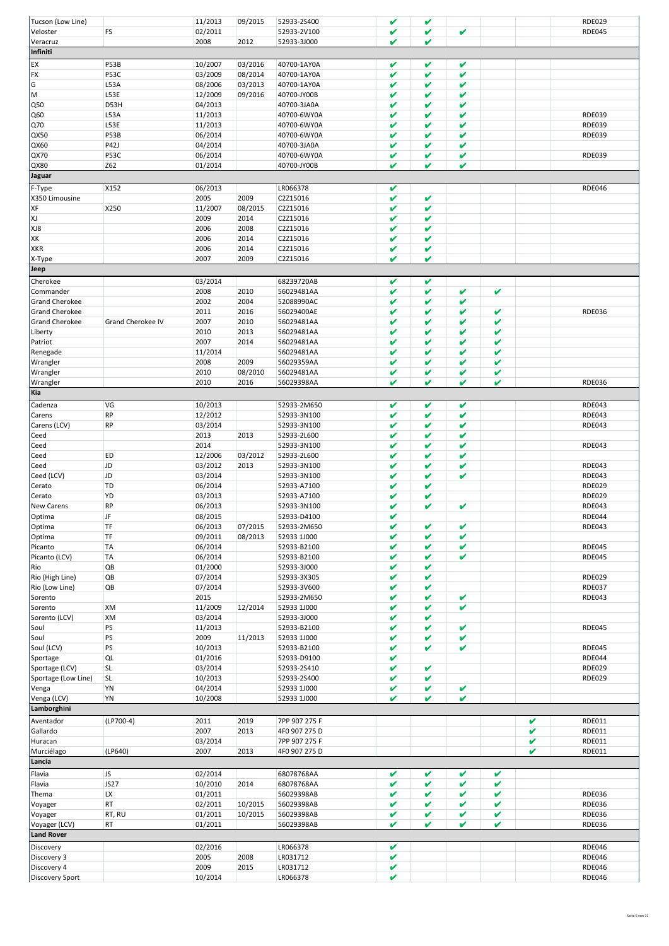| Tucson (Low Line)              |                          | 11/2013         | 09/2015 | 52933-2S400          | V           | V      |   |   |   | <b>RDE029</b>                  |
|--------------------------------|--------------------------|-----------------|---------|----------------------|-------------|--------|---|---|---|--------------------------------|
| Veloster                       | FS                       | 02/2011         |         | 52933-2V100          | V           | V      | V |   |   | <b>RDE045</b>                  |
| Veracruz                       |                          | 2008            | 2012    | 52933-3J000          | V           | V      |   |   |   |                                |
| Infiniti                       |                          |                 |         |                      |             |        |   |   |   |                                |
|                                |                          |                 |         |                      |             |        |   |   |   |                                |
| EX                             | P53B                     | 10/2007         | 03/2016 | 40700-1AY0A          | V           | V      | V |   |   |                                |
| FX                             | P53C                     | 03/2009         | 08/2014 | 40700-1AY0A          | V           | V<br>V | V |   |   |                                |
| G                              | L53A                     | 08/2006         | 03/2013 | 40700-1AY0A          | V           |        | V |   |   |                                |
| lм                             | L53E                     | 12/2009         | 09/2016 | 40700-JY00B          | V           | V      | V |   |   |                                |
| Q50                            | D53H                     | 04/2013         |         | 40700-3JA0A          | V           | V      | V |   |   |                                |
| Q60                            | L53A                     | 11/2013         |         | 40700-6WY0A          | V           | V      | V |   |   | <b>RDE039</b>                  |
| Q70                            | L53E                     | 11/2013         |         | 40700-6WY0A          | V           | V      | V |   |   | <b>RDE039</b>                  |
| QX50                           | P53B                     | 06/2014         |         | 40700-6WY0A          | V           | V      | V |   |   | <b>RDE039</b>                  |
| QX60                           | P42J                     | 04/2014         |         | 40700-3JA0A          | V           | V      | V |   |   |                                |
| QX70                           | P53C                     | 06/2014         |         | 40700-6WY0A          | V           | V      | V |   |   | <b>RDE039</b>                  |
| QX80                           | Z62                      | 01/2014         |         | 40700-JY00B          | V           | V      | V |   |   |                                |
| Jaguar                         |                          |                 |         |                      |             |        |   |   |   |                                |
| F-Type                         | X152                     | 06/2013         |         | LR066378             | V           |        |   |   |   | <b>RDE046</b>                  |
|                                |                          |                 |         |                      | V           | V      |   |   |   |                                |
| X350 Limousine                 |                          | 2005            | 2009    | C2Z15016             |             |        |   |   |   |                                |
| XF                             | X250                     | 11/2007         | 08/2015 | C2Z15016             | V           | V      |   |   |   |                                |
| XJ                             |                          | 2009            | 2014    | C2Z15016             | V           | V      |   |   |   |                                |
| XJ8                            |                          | 2006            | 2008    | C2Z15016             | V           | V      |   |   |   |                                |
| XK                             |                          | 2006            | 2014    | C2Z15016             | V           | V      |   |   |   |                                |
| <b>XKR</b>                     |                          | 2006            | 2014    | C2Z15016             | V           | V      |   |   |   |                                |
| X-Type                         |                          | 2007            | 2009    | C2Z15016             | V           | V      |   |   |   |                                |
| Jeep                           |                          |                 |         |                      |             |        |   |   |   |                                |
| Cherokee                       |                          | 03/2014         |         | 68239720AB           | V           | V      |   |   |   |                                |
| Commander                      |                          | 2008            | 2010    | 56029481AA           | V           | V      | V | V |   |                                |
| <b>Grand Cherokee</b>          |                          | 2002            | 2004    | 52088990AC           | V           | V      | V |   |   |                                |
| <b>Grand Cherokee</b>          |                          | 2011            | 2016    | 56029400AE           | V           | V      | V | V |   | <b>RDE036</b>                  |
| <b>Grand Cherokee</b>          | <b>Grand Cherokee IV</b> | 2007            | 2010    | 56029481AA           | V           | V      | V | V |   |                                |
|                                |                          | 2010            | 2013    |                      | V           | V      | V | V |   |                                |
| Liberty                        |                          |                 |         | 56029481AA           |             |        |   |   |   |                                |
| Patriot                        |                          | 2007            | 2014    | 56029481AA           | V           | V      | V | V |   |                                |
| Renegade                       |                          | 11/2014         |         | 56029481AA           | V           | V      | V | V |   |                                |
| Wrangler                       |                          | 2008            | 2009    | 56029359AA           | V           | V      | V | V |   |                                |
| Wrangler                       |                          | 2010            | 08/2010 | 56029481AA           | V           | V      | V | V |   |                                |
| Wrangler                       |                          | 2010            | 2016    | 56029398AA           | V           | V      | V | V |   | <b>RDE036</b>                  |
| Kia                            |                          |                 |         |                      |             |        |   |   |   |                                |
| Cadenza                        | VG                       | 10/2013         |         | 52933-2M650          | V           | V      | V |   |   | <b>RDE043</b>                  |
| Carens                         | <b>RP</b>                | 12/2012         |         | 52933-3N100          | V           | V      | V |   |   | <b>RDE043</b>                  |
| Carens (LCV)                   | <b>RP</b>                | 03/2014         |         | 52933-3N100          | V           | V      | V |   |   | <b>RDE043</b>                  |
| Ceed                           |                          | 2013            | 2013    | 52933-2L600          | V           | V      | V |   |   |                                |
| Ceed                           |                          | 2014            |         | 52933-3N100          | V           | V      | V |   |   | <b>RDE043</b>                  |
| Ceed                           | ED                       | 12/2006         | 03/2012 | 52933-2L600          | V           | V      | V |   |   |                                |
|                                | JD                       | 03/2012         | 2013    |                      | V           | V      | V |   |   | <b>RDE043</b>                  |
| Ceed                           |                          |                 |         | 52933-3N100          |             | V      |   |   |   |                                |
|                                | JD                       | 03/2014         |         | 52933-3N100          | V           |        | V |   |   | <b>RDE043</b>                  |
| Ceed (LCV)                     |                          | 06/2014         |         | 52933-A7100          | V           | V      |   |   |   | <b>RDE029</b>                  |
| Cerato                         | TD                       |                 |         |                      |             | V      |   |   |   | <b>RDE029</b>                  |
| Cerato                         | YD                       | 03/2013         |         | 52933-A7100          | V           |        |   |   |   |                                |
| <b>New Carens</b>              | <b>RP</b>                | 06/2013         |         | 52933-3N100          | V           | V      | V |   |   | <b>RDE043</b>                  |
| Optima                         | JF                       | 08/2015         |         | 52933-D4100          | $\mathbf v$ |        |   |   |   | <b>RDE044</b>                  |
| Optima                         | TF                       | 06/2013         | 07/2015 | 52933-2M650          | V           | V      | V |   |   | <b>RDE043</b>                  |
| Optima                         | TF                       | 09/2011         | 08/2013 | 52933 1J000          | V           | V      | V |   |   |                                |
| Picanto                        | TA                       | 06/2014         |         | 52933-B2100          | V           | V      | V |   |   | <b>RDE045</b>                  |
| Picanto (LCV)                  | TA                       | 06/2014         |         | 52933-B2100          | V           | V      | V |   |   | <b>RDE045</b>                  |
| Rio                            | QB                       | 01/2000         |         | 52933-3J000          | V           | V      |   |   |   |                                |
| Rio (High Line)                | QB                       | 07/2014         |         | 52933-3X305          | V           | V      |   |   |   | <b>RDE029</b>                  |
|                                |                          |                 |         |                      | V           | V      |   |   |   |                                |
| Rio (Low Line)                 | QB                       | 07/2014         |         | 52933-3V600          |             |        |   |   |   | <b>RDE037</b>                  |
| Sorento                        |                          | 2015            |         | 52933-2M650          | V           | V      | V |   |   | <b>RDE043</b>                  |
| Sorento                        | XM                       | 11/2009         | 12/2014 | 52933 1J000          | V<br>V      | V<br>V | V |   |   |                                |
| Sorento (LCV)                  | XM                       | 03/2014         |         | 52933-3J000          |             |        |   |   |   |                                |
| Soul                           | PS                       | 11/2013         |         | 52933-B2100          | V           | V      | V |   |   | <b>RDE045</b>                  |
| Soul                           | PS                       | 2009            | 11/2013 | 52933 1J000          | V           | V      | V |   |   |                                |
| Soul (LCV)                     | PS                       | 10/2013         |         | 52933-B2100          | V           | V      | V |   |   | <b>RDE045</b>                  |
| Sportage                       | QL                       | 01/2016         |         | 52933-D9100          | V           |        |   |   |   | <b>RDE044</b>                  |
| Sportage (LCV)                 | SL                       | 03/2014         |         | 52933-2S410          | V           | V      |   |   |   | <b>RDE029</b>                  |
| Sportage (Low Line)            | SL                       | 10/2013         |         | 52933-2S400          | V           | V      |   |   |   | <b>RDE029</b>                  |
| Venga                          | YN                       | 04/2014         |         | 52933 1J000          | V           | V      | V |   |   |                                |
| Venga (LCV)                    | YN                       | 10/2008         |         | 52933 1J000          | V           | V      | V |   |   |                                |
| Lamborghini                    |                          |                 |         |                      |             |        |   |   |   |                                |
| Aventador                      | $(LP700-4)$              | 2011            | 2019    | 7PP 907 275 F        |             |        |   |   | V | RDE011                         |
|                                |                          |                 |         |                      |             |        |   |   | V |                                |
| Gallardo                       |                          | 2007            | 2013    | 4F0 907 275 D        |             |        |   |   | V | RDE011                         |
| Huracan                        |                          | 03/2014         |         | 7PP 907 275 F        |             |        |   |   | v | RDE011                         |
| Murciélago                     | (LP640)                  | 2007            | 2013    | 4F0 907 275 D        |             |        |   |   |   | RDE011                         |
| Lancia                         |                          |                 |         |                      |             |        |   |   |   |                                |
| Flavia                         | JS.                      | 02/2014         |         | 68078768AA           | V           | V      | V | V |   |                                |
| Flavia                         | <b>JS27</b>              | 10/2010         | 2014    | 68078768AA           | V           | V      | V | V |   |                                |
| Thema                          | LХ                       | 01/2011         |         | 56029398AB           | V           | V      | V | V |   | <b>RDE036</b>                  |
| Voyager                        | <b>RT</b>                | 02/2011         | 10/2015 | 56029398AB           | V           | V      | V | V |   | <b>RDE036</b>                  |
| Voyager                        | RT, RU                   | 01/2011         | 10/2015 | 56029398AB           | V           | V      | V | V |   | <b>RDE036</b>                  |
| Voyager (LCV)                  | <b>RT</b>                | 01/2011         |         | 56029398AB           | V           | V      | V | V |   | <b>RDE036</b>                  |
| <b>Land Rover</b>              |                          |                 |         |                      |             |        |   |   |   |                                |
|                                |                          |                 |         |                      |             |        |   |   |   |                                |
| Discovery                      |                          | 02/2016         |         | LR066378             | V           |        |   |   |   | <b>RDE046</b>                  |
| Discovery 3                    |                          | 2005            | 2008    | LR031712             | V           |        |   |   |   | <b>RDE046</b>                  |
| Discovery 4<br>Discovery Sport |                          | 2009<br>10/2014 | 2015    | LR031712<br>LR066378 | V<br>V      |        |   |   |   | <b>RDE046</b><br><b>RDE046</b> |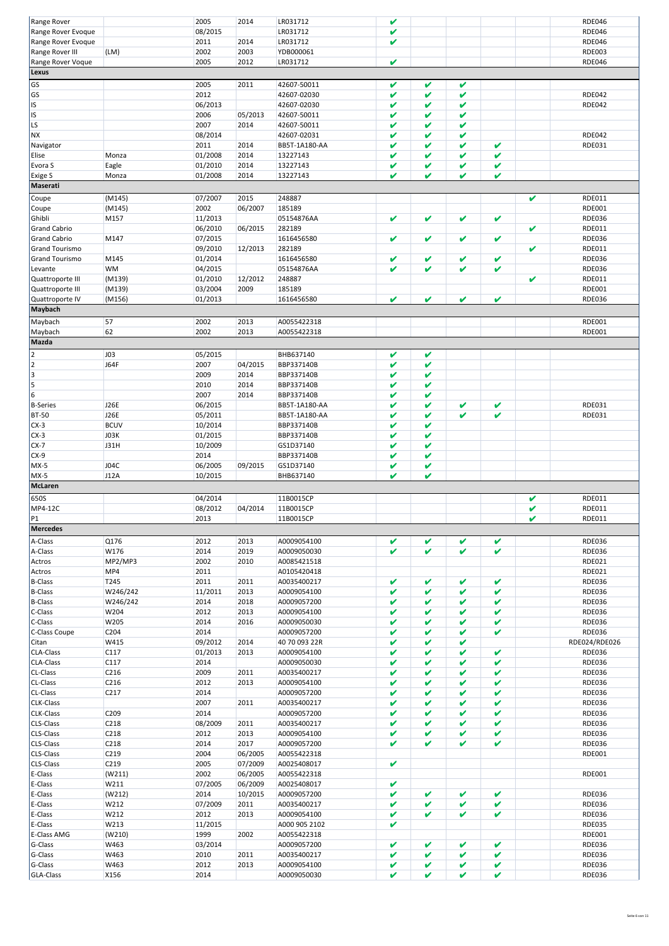| Range Rover             |                  | 2005    | 2014    | LR031712      | V |   |   |   |   | <b>RDE046</b> |
|-------------------------|------------------|---------|---------|---------------|---|---|---|---|---|---------------|
| Range Rover Evoque      |                  | 08/2015 |         | LR031712      | V |   |   |   |   | <b>RDE046</b> |
| Range Rover Evoque      |                  | 2011    | 2014    | LR031712      | V |   |   |   |   | <b>RDE046</b> |
| Range Rover III         | (LM)             | 2002    | 2003    | YDB000061     |   |   |   |   |   | <b>RDE003</b> |
|                         |                  |         |         |               |   |   |   |   |   |               |
| Range Rover Voque       |                  | 2005    | 2012    | LR031712      | V |   |   |   |   | <b>RDE046</b> |
| Lexus                   |                  |         |         |               |   |   |   |   |   |               |
| GS                      |                  | 2005    | 2011    | 42607-50011   | V | V | V |   |   |               |
|                         |                  |         |         |               |   |   |   |   |   |               |
| GS                      |                  | 2012    |         | 42607-02030   | V | V | V |   |   | <b>RDE042</b> |
| IS                      |                  | 06/2013 |         | 42607-02030   | V | V | V |   |   | <b>RDE042</b> |
| IS                      |                  | 2006    | 05/2013 | 42607-50011   | V | V | V |   |   |               |
| LS                      |                  | 2007    | 2014    | 42607-50011   | V | V | V |   |   |               |
|                         |                  |         |         |               |   |   |   |   |   |               |
| <b>NX</b>               |                  | 08/2014 |         | 42607-02031   | V | V | V |   |   | <b>RDE042</b> |
| Navigator               |                  | 2011    | 2014    | BB5T-1A180-AA | V | V | V | V |   | RDE031        |
| Elise                   | Monza            | 01/2008 | 2014    | 13227143      | V | V | V | V |   |               |
|                         |                  |         |         | 13227143      | V | V | V | V |   |               |
| Evora S                 | Eagle            | 01/2010 | 2014    |               |   |   |   |   |   |               |
| Exige S                 | Monza            | 01/2008 | 2014    | 13227143      | V | V | V | V |   |               |
| Maserati                |                  |         |         |               |   |   |   |   |   |               |
|                         |                  |         | 2015    | 248887        |   |   |   |   | V | RDE011        |
| Coupe                   | (M145)           | 07/2007 |         |               |   |   |   |   |   |               |
| Coupe                   | (M145)           | 2002    | 06/2007 | 185189        |   |   |   |   |   | <b>RDE001</b> |
| Ghibli                  | M157             | 11/2013 |         | 05154876AA    | V | V | V | V |   | <b>RDE036</b> |
| <b>Grand Cabrio</b>     |                  | 06/2010 | 06/2015 | 282189        |   |   |   |   | V | RDE011        |
| <b>Grand Cabrio</b>     | M147             | 07/2015 |         | 1616456580    | V | V | V | V |   | <b>RDE036</b> |
|                         |                  |         |         |               |   |   |   |   |   |               |
| <b>Grand Tourismo</b>   |                  | 09/2010 | 12/2013 | 282189        |   |   |   |   | V | RDE011        |
| <b>Grand Tourismo</b>   | M145             | 01/2014 |         | 1616456580    | V | V | V | V |   | <b>RDE036</b> |
| Levante                 | WM               | 04/2015 |         | 05154876AA    | V | V | V | V |   | <b>RDE036</b> |
|                         |                  | 01/2010 |         | 248887        |   |   |   |   | V | RDE011        |
| Quattroporte III        | (M139)           |         | 12/2012 |               |   |   |   |   |   |               |
| Quattroporte III        | (M139)           | 03/2004 | 2009    | 185189        |   |   |   |   |   | RDE001        |
| Quattroporte IV         | (M156)           | 01/2013 |         | 1616456580    | V | V | V | V |   | <b>RDE036</b> |
| <b>Maybach</b>          |                  |         |         |               |   |   |   |   |   |               |
|                         |                  |         |         |               |   |   |   |   |   |               |
| Maybach                 | 57               | 2002    | 2013    | A0055422318   |   |   |   |   |   | <b>RDE001</b> |
| Maybach                 | 62               | 2002    | 2013    | A0055422318   |   |   |   |   |   | <b>RDE001</b> |
| Mazda                   |                  |         |         |               |   |   |   |   |   |               |
|                         |                  |         |         |               |   |   |   |   |   |               |
| $\overline{\mathbf{c}}$ | <b>JO3</b>       | 05/2015 |         | BHB637140     | V | V |   |   |   |               |
| 2                       | <b>J64F</b>      | 2007    | 04/2015 | BBP337140B    | V | V |   |   |   |               |
| 3                       |                  | 2009    | 2014    | BBP337140B    | V | V |   |   |   |               |
|                         |                  |         |         |               |   |   |   |   |   |               |
| 5                       |                  | 2010    | 2014    | BBP337140B    | V | V |   |   |   |               |
| 6                       |                  | 2007    | 2014    | BBP337140B    | V | V |   |   |   |               |
| <b>B-Series</b>         | <b>J26E</b>      | 06/2015 |         | BB5T-1A180-AA | V | V | V | V |   | RDE031        |
| <b>BT-50</b>            | <b>J26E</b>      | 05/2011 |         | BB5T-1A180-AA | V | V | V | V |   | RDE031        |
|                         |                  |         |         |               |   |   |   |   |   |               |
| $CX-3$                  | <b>BCUV</b>      | 10/2014 |         | BBP337140B    | V | V |   |   |   |               |
| $CX-3$                  | J03K             | 01/2015 |         | BBP337140B    | V | V |   |   |   |               |
| $CX-7$                  | J31H             | 10/2009 |         | GS1D37140     | V | V |   |   |   |               |
| $CX-9$                  |                  | 2014    |         | BBP337140B    | V | V |   |   |   |               |
|                         |                  |         |         |               |   |   |   |   |   |               |
| $MX-5$                  | J04C             | 06/2005 | 09/2015 | GS1D37140     | V | V |   |   |   |               |
| $MX-5$                  | J12A             | 10/2015 |         | BHB637140     | V | V |   |   |   |               |
| McLaren                 |                  |         |         |               |   |   |   |   |   |               |
|                         |                  |         |         |               |   |   |   |   |   |               |
| 650S                    |                  | 04/2014 |         | 11B0015CP     |   |   |   |   | V | RDE011        |
| MP4-12C                 |                  | 08/2012 | 04/2014 | 11B0015CP     |   |   |   |   | V | RDE011        |
| P1                      |                  | 2013    |         | 11B0015CP     |   |   |   |   | V | RDE011        |
| Mercedes                |                  |         |         |               |   |   |   |   |   |               |
|                         |                  |         |         |               |   |   |   |   |   |               |
| A-Class                 | Q176             | 2012    | 2013    | A0009054100   | V | V | V | V |   | <b>RDE036</b> |
| A-Class                 | W176             | 2014    | 2019    | A0009050030   | V | V | V | V |   | <b>RDE036</b> |
|                         |                  | 2002    |         |               |   |   |   |   |   | RDE021        |
| Actros                  | MP2/MP3          |         | 2010    | A0085421518   |   |   |   |   |   |               |
| Actros                  | MP4              | 2011    |         | A0105420418   |   |   |   |   |   | RDE021        |
| <b>B-Class</b>          | T245             | 2011    | 2011    | A0035400217   | V | V | V | V |   | <b>RDE036</b> |
| <b>B-Class</b>          | W246/242         | 11/2011 | 2013    | A0009054100   | V | V | V | V |   | <b>RDE036</b> |
|                         |                  |         |         |               |   |   |   |   |   |               |
| <b>B-Class</b>          | W246/242         | 2014    | 2018    | A0009057200   | V | V | V | V |   | <b>RDE036</b> |
| C-Class                 | W204             | 2012    | 2013    | A0009054100   | V | V | V | V |   | <b>RDE036</b> |
| C-Class                 | W205             | 2014    | 2016    | A0009050030   | V | V | V | V |   | <b>RDE036</b> |
| C-Class Coupe           | C204             | 2014    |         | A0009057200   | V | V | V | V |   | <b>RDE036</b> |
| Citan                   | W415             | 09/2012 | 2014    | 40 70 093 22R | V | V | V |   |   | RDE024/RDE026 |
|                         |                  |         |         |               |   |   |   |   |   |               |
| CLA-Class               | C117             | 01/2013 | 2013    | A0009054100   | V | V | V | V |   | <b>RDE036</b> |
| CLA-Class               | C117             | 2014    |         | A0009050030   | V | V | V | V |   | <b>RDE036</b> |
| CL-Class                | C216             | 2009    | 2011    | A0035400217   | V | V | V | V |   | <b>RDE036</b> |
| CL-Class                | C216             | 2012    | 2013    | A0009054100   | V | V | V | V |   | <b>RDE036</b> |
|                         |                  |         |         |               |   |   |   |   |   |               |
| CL-Class                | C217             | 2014    |         | A0009057200   | V | V | V | V |   | <b>RDE036</b> |
| CLK-Class               |                  | 2007    | 2011    | A0035400217   | V | V | V | V |   | <b>RDE036</b> |
| <b>CLK-Class</b>        | C <sub>209</sub> | 2014    |         | A0009057200   | V | V | V | V |   | <b>RDE036</b> |
| CLS-Class               | C218             | 08/2009 | 2011    | A0035400217   | V | V | V | V |   | <b>RDE036</b> |
|                         |                  |         |         |               |   |   |   |   |   |               |
| CLS-Class               | C218             | 2012    | 2013    | A0009054100   | V | V | V | V |   | <b>RDE036</b> |
| CLS-Class               | C218             | 2014    | 2017    | A0009057200   | V | V | V | V |   | <b>RDE036</b> |
| <b>CLS-Class</b>        | C219             | 2004    | 06/2005 | A0055422318   |   |   |   |   |   | RDE001        |
| CLS-Class               | C219             | 2005    | 07/2009 | A0025408017   | V |   |   |   |   |               |
|                         |                  |         |         |               |   |   |   |   |   |               |
| E-Class                 | (W211)           | 2002    | 06/2005 | A0055422318   |   |   |   |   |   | <b>RDE001</b> |
| E-Class                 | W211             | 07/2005 | 06/2009 | A0025408017   | V |   |   |   |   |               |
| E-Class                 | (W212)           | 2014    | 10/2015 | A0009057200   | V | V | V | V |   | <b>RDE036</b> |
| E-Class                 | W212             | 07/2009 | 2011    | A0035400217   | V | V | V | V |   | <b>RDE036</b> |
|                         |                  |         |         |               |   |   |   |   |   |               |
| E-Class                 | W212             | 2012    | 2013    | A0009054100   | v | V | V | V |   | <b>RDE036</b> |
| E-Class                 | W213             | 11/2015 |         | A000 905 2102 | V |   |   |   |   | <b>RDE035</b> |
| E-Class AMG             | (W210)           | 1999    | 2002    | A0055422318   |   |   |   |   |   | RDE001        |
| G-Class                 | W463             | 03/2014 |         | A0009057200   | V | V | V | V |   | <b>RDE036</b> |
|                         |                  |         |         |               |   |   |   |   |   |               |
| G-Class                 | W463             | 2010    | 2011    | A0035400217   | V | V | V | V |   | <b>RDE036</b> |
| G-Class                 |                  |         | 2013    | A0009054100   | V | V | V | V |   | <b>RDE036</b> |
|                         | W463             | 2012    |         |               |   |   |   |   |   |               |
| GLA-Class               | X156             | 2014    |         | A0009050030   | V | V | V | V |   | <b>RDE036</b> |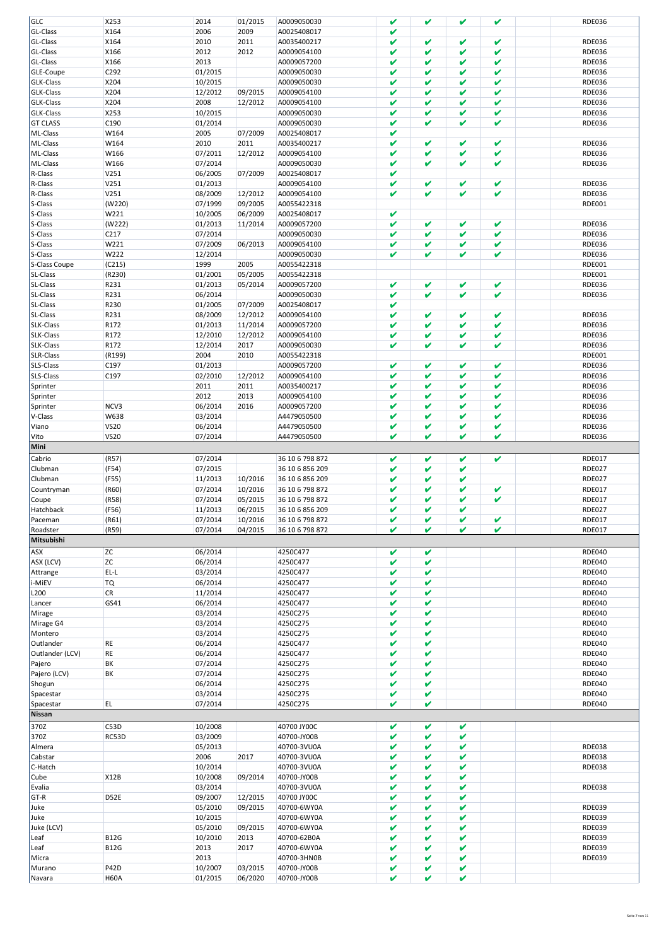| GLC                  | X253                | 2014               | 01/2015            | A0009050030                | V           | V            | V      | V | <b>RDE036</b> |
|----------------------|---------------------|--------------------|--------------------|----------------------------|-------------|--------------|--------|---|---------------|
| GL-Class             | X164                | 2006               | 2009               | A0025408017                | V           |              |        |   |               |
| GL-Class             | X164                | 2010               | 2011               | A0035400217                | V           | v            | V      | v | <b>RDE036</b> |
|                      |                     |                    |                    |                            |             |              |        |   |               |
| GL-Class             | X166                | 2012               | 2012               | A0009054100                | V           | V            | V      | V | <b>RDE036</b> |
| GL-Class             | X166                | 2013               |                    | A0009057200                | V           | V            | V      | V | <b>RDE036</b> |
| GLE-Coupe            | C292                | 01/2015            |                    | A0009050030                | V           | v            | V      | V | <b>RDE036</b> |
| GLK-Class            | X204                | 10/2015            |                    | A0009050030                | V           | V            | V      | V | <b>RDE036</b> |
| GLK-Class            | X204                | 12/2012            | 09/2015            | A0009054100                | V           | v            | V      | V | <b>RDE036</b> |
|                      |                     |                    |                    |                            |             |              |        |   |               |
| GLK-Class            | X204                | 2008               | 12/2012            | A0009054100                | V           | V            | V      | V | <b>RDE036</b> |
| GLK-Class            | X253                | 10/2015            |                    | A0009050030                | V           | V            | V      | V | <b>RDE036</b> |
| <b>GT CLASS</b>      | C190                | 01/2014            |                    | A0009050030                | V           | v            | V      | V | <b>RDE036</b> |
| ML-Class             | W164                | 2005               | 07/2009            | A0025408017                | V           |              |        |   |               |
| ML-Class             | W164                | 2010               | 2011               | A0035400217                | V           | v            | V      | V | <b>RDE036</b> |
|                      |                     |                    |                    |                            |             |              |        |   |               |
| ML-Class             | W166                | 07/2011            | 12/2012            | A0009054100                | V           | $\pmb{\vee}$ | V      | V | <b>RDE036</b> |
| ML-Class             | W166                | 07/2014            |                    | A0009050030                | V           | v            | V      | V | <b>RDE036</b> |
| R-Class              | V251                | 06/2005            | 07/2009            | A0025408017                | V           |              |        |   |               |
| R-Class              | V251                | 01/2013            |                    | A0009054100                | V           | v            | V      | v | <b>RDE036</b> |
|                      |                     |                    |                    |                            |             |              |        |   |               |
| R-Class              | V251                | 08/2009            | 12/2012            | A0009054100                | V           | V            | V      | V | <b>RDE036</b> |
| S-Class              | (W220)              | 07/1999            | 09/2005            | A0055422318                |             |              |        |   | RDE001        |
| S-Class              | W221                | 10/2005            | 06/2009            | A0025408017                | V           |              |        |   |               |
| S-Class              | (W222)              | 01/2013            | 11/2014            | A0009057200                | V           | v            | V      | V | <b>RDE036</b> |
| S-Class              | C217                | 07/2014            |                    | A0009050030                | V           | v            | V      | V | <b>RDE036</b> |
|                      |                     |                    |                    |                            |             |              |        |   |               |
| S-Class              | W221                | 07/2009            | 06/2013            | A0009054100                | V           | V            | V      | V | <b>RDE036</b> |
| S-Class              | W222                | 12/2014            |                    | A0009050030                | V           | V            | V      | V | <b>RDE036</b> |
| S-Class Coupe        | (C215)              | 1999               | 2005               | A0055422318                |             |              |        |   | <b>RDE001</b> |
| SL-Class             | (R230)              | 01/2001            | 05/2005            | A0055422318                |             |              |        |   | <b>RDE001</b> |
|                      |                     |                    |                    |                            |             |              |        |   |               |
| SL-Class             | R231                | 01/2013            | 05/2014            | A0009057200                | V           | V            | V      | V | <b>RDE036</b> |
| SL-Class             | R231                | 06/2014            |                    | A0009050030                | V           | V            | V      | V | <b>RDE036</b> |
| SL-Class             | R230                | 01/2005            | 07/2009            | A0025408017                | V           |              |        |   |               |
| SL-Class             | R231                | 08/2009            | 12/2012            | A0009054100                | V           | v            | V      | V | <b>RDE036</b> |
|                      |                     |                    |                    |                            |             |              |        |   |               |
| SLK-Class            | R172                | 01/2013            | 11/2014            | A0009057200                | V           | v            | V      | V | <b>RDE036</b> |
| SLK-Class            | R172                | 12/2010            | 12/2012            | A0009054100                | V           | V            | V      | V | <b>RDE036</b> |
| SLK-Class            | R172                | 12/2014            | 2017               | A0009050030                | V           | ✔            | V      | V | <b>RDE036</b> |
| SLR-Class            | (R199)              | 2004               | 2010               | A0055422318                |             |              |        |   | <b>RDE001</b> |
|                      |                     |                    |                    |                            |             |              |        |   |               |
| SLS-Class            | C197                | 01/2013            |                    | A0009057200                | V           | ✔            | V      | V | <b>RDE036</b> |
| SLS-Class            | C197                | 02/2010            | 12/2012            | A0009054100                | V           | ✔            | V      | V | <b>RDE036</b> |
| Sprinter             |                     | 2011               | 2011               | A0035400217                | V           | V            | V      | V | <b>RDE036</b> |
| Sprinter             |                     | 2012               | 2013               | A0009054100                | V           | V            | V      | V | <b>RDE036</b> |
|                      |                     |                    |                    |                            |             |              |        |   |               |
| Sprinter             | NCV3                | 06/2014            | 2016               | A0009057200                | V           | V            | V      | V | <b>RDE036</b> |
| V-Class              | W638                | 03/2014            |                    | A4479050500                | V           | ✔            | V      | V | <b>RDE036</b> |
| Viano                | <b>VS20</b>         | 06/2014            |                    | A4479050500                | V           | V            | V      | V | <b>RDE036</b> |
| Vito                 | <b>VS20</b>         | 07/2014            |                    | A4479050500                | $\mathbf v$ | ✔            | V      | V | <b>RDE036</b> |
|                      |                     |                    |                    |                            |             |              |        |   |               |
| Mini                 |                     |                    |                    |                            |             |              |        |   |               |
|                      |                     |                    |                    |                            |             |              |        |   |               |
|                      |                     |                    |                    |                            | V           | V            | V      |   |               |
| Cabrio               | (R57)               | 07/2014            |                    | 36 10 6 798 872            |             |              |        | V | <b>RDE017</b> |
| Clubman              | (F54)               | 07/2015            |                    | 36 10 6 856 209            | V           | v            | V      |   | <b>RDE027</b> |
| Clubman              | (F55)               | 11/2013            | 10/2016            | 36 10 6 856 209            | v           | v            | V      |   | <b>RDE027</b> |
| Countryman           | (R60)               | 07/2014            | 10/2016            | 36 10 6 798 872            | v           | v            | V      | V | <b>RDE017</b> |
|                      |                     |                    | 05/2015            | 36 10 6 798 872            | V           | v            | v      | V |               |
| Coupe                | (R58)               | 07/2014            |                    |                            |             |              |        |   | <b>RDE017</b> |
|                      | (F56)               | 11/2013            | 06/2015            | 36 10 6 856 209            | V           | v            | V      |   | <b>RDE027</b> |
| Hatchback<br>Paceman | (R61)               | 07/2014            | 10/2016            | 36 10 6 798 872            | v           | v            | v      | ✔ | <b>RDE017</b> |
| Roadster             | (R59)               | 07/2014            | 04/2015            | 36 10 6 798 872            | V           | V            | V      | V | <b>RDE017</b> |
| Mitsubishi           |                     |                    |                    |                            |             |              |        |   |               |
|                      |                     |                    |                    |                            |             |              |        |   |               |
| ASX                  | ZC                  | 06/2014            |                    | 4250C477                   | V           | V            |        |   | <b>RDE040</b> |
| ASX (LCV)            | ZC                  | 06/2014            |                    | 4250C477                   | V           | V            |        |   | <b>RDE040</b> |
| Attrange             | EL-L                | 03/2014            |                    | 4250C477                   | V           | V            |        |   | <b>RDE040</b> |
|                      |                     | 06/2014            |                    | 4250C477                   | v           | V            |        |   | <b>RDE040</b> |
| i-MiEV               | <b>TQ</b>           |                    |                    |                            |             |              |        |   |               |
| L200                 | CR                  | 11/2014            |                    | 4250C477                   | V           | V            |        |   | <b>RDE040</b> |
| Lancer               | GS41                | 06/2014            |                    | 4250C477                   | V           | V            |        |   | <b>RDE040</b> |
| Mirage               |                     | 03/2014            |                    | 4250C275                   | V           | V            |        |   | <b>RDE040</b> |
| Mirage G4            |                     | 03/2014            |                    | 4250C275                   | v           | V            |        |   | <b>RDE040</b> |
|                      |                     |                    |                    |                            | V           | V            |        |   |               |
|                      |                     | 03/2014            |                    | 4250C275                   |             |              |        |   | <b>RDE040</b> |
| Outlander            | RE                  | 06/2014            |                    | 4250C477                   | v           | V            |        |   | <b>RDE040</b> |
| Outlander (LCV)      | RE                  | 06/2014            |                    | 4250C477                   | V           | V            |        |   | <b>RDE040</b> |
| Montero<br>Pajero    | ΒK                  | 07/2014            |                    | 4250C275                   | v           | V            |        |   | <b>RDE040</b> |
| Pajero (LCV)         | BK                  | 07/2014            |                    | 4250C275                   | V           | V            |        |   | <b>RDE040</b> |
|                      |                     |                    |                    |                            |             |              |        |   |               |
| Shogun               |                     | 06/2014            |                    | 4250C275                   | v           | V            |        |   | <b>RDE040</b> |
| Spacestar            |                     | 03/2014            |                    | 4250C275                   | V           | V            |        |   | <b>RDE040</b> |
| Spacestar            | EL                  | 07/2014            |                    | 4250C275                   | v           | V            |        |   | <b>RDE040</b> |
| Nissan               |                     |                    |                    |                            |             |              |        |   |               |
|                      |                     |                    |                    |                            |             |              |        |   |               |
| 370Z                 | C53D                | 10/2008            |                    | 40700 JY00C                | V           | V            | V      |   |               |
| 370Z                 | RC53D               | 03/2009            |                    | 40700-JY00B                | V           | V            | V      |   |               |
| Almera               |                     | 05/2013            |                    | 40700-3VU0A                | V           | V            | V      |   | <b>RDE038</b> |
| Cabstar              |                     | 2006               | 2017               | 40700-3VU0A                | V           | V            | V      |   | <b>RDE038</b> |
|                      |                     |                    |                    |                            |             |              |        |   |               |
| C-Hatch              |                     | 10/2014            |                    | 40700-3VU0A                | V           | V            | V      |   | <b>RDE038</b> |
| Cube                 | <b>X12B</b>         | 10/2008            | 09/2014            | 40700-JY00B                | V           | V            | V      |   |               |
| Evalia               |                     | 03/2014            |                    | 40700-3VU0A                | V           | V            | V      |   | <b>RDE038</b> |
| GT-R                 | D52E                | 09/2007            | 12/2015            | 40700 JY00C                | V           | V            | V      |   |               |
|                      |                     |                    |                    |                            | V           | V            | V      |   |               |
| Juke                 |                     | 05/2010            | 09/2015            | 40700-6WY0A                |             |              |        |   | <b>RDE039</b> |
| Juke                 |                     | 10/2015            |                    | 40700-6WY0A                | V           | V            | V      |   | <b>RDE039</b> |
| Juke (LCV)           |                     | 05/2010            | 09/2015            | 40700-6WY0A                | V           | V            | V      |   | <b>RDE039</b> |
| Leaf                 | <b>B12G</b>         | 10/2010            | 2013               | 40700-62B0A                | V           | V            | V      |   | <b>RDE039</b> |
|                      |                     |                    |                    |                            | V           | V            | V      |   |               |
| Leaf                 | <b>B12G</b>         | 2013               | 2017               | 40700-6WY0A                |             |              |        |   | <b>RDE039</b> |
| Micra                |                     | 2013               |                    | 40700-3HN0B                | V           | V            | V      |   | <b>RDE039</b> |
| Murano<br>Navara     | P42D<br><b>H60A</b> | 10/2007<br>01/2015 | 03/2015<br>06/2020 | 40700-JY00B<br>40700-JY00B | V<br>V      | V<br>V       | V<br>V |   |               |

Seite 7 von 11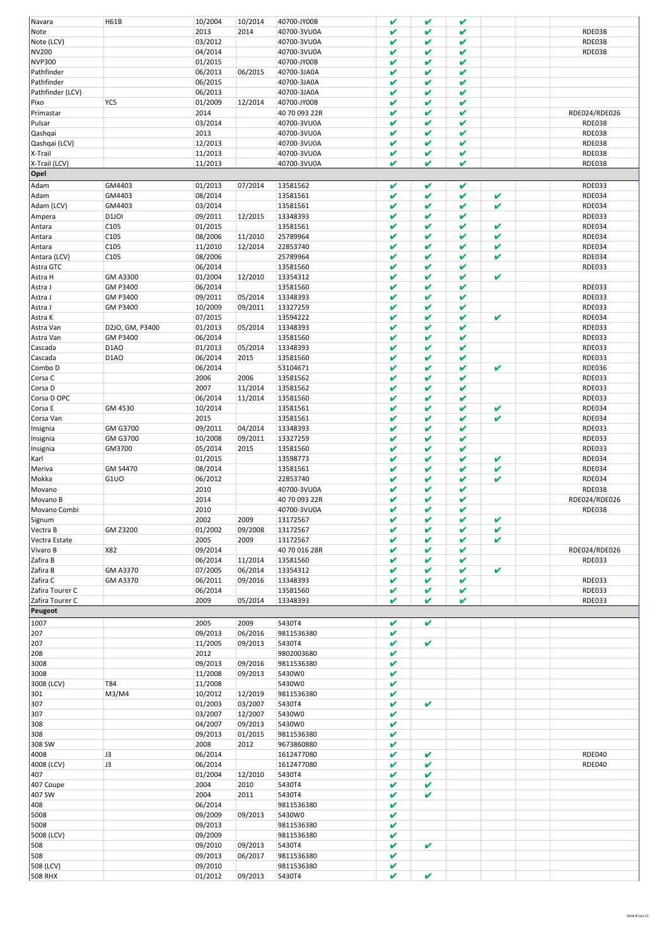|                  | H61B               | 10/2004 | 10/2014 | 40700-JY00B   | V            | V            | V            |             |               |
|------------------|--------------------|---------|---------|---------------|--------------|--------------|--------------|-------------|---------------|
| Navara           |                    |         |         |               |              |              |              |             |               |
| Note             |                    | 2013    | 2014    | 40700-3VU0A   | V            | V            | V            |             | <b>RDE038</b> |
| Note (LCV)       |                    | 03/2012 |         | 40700-3VU0A   | V            | V            | V            |             | <b>RDE038</b> |
| <b>NV200</b>     |                    | 04/2014 |         | 40700-3VU0A   | V            | V            | V            |             | <b>RDE038</b> |
| <b>NVP300</b>    |                    | 01/2015 |         | 40700-JY00B   | V            | V            | V            |             |               |
|                  |                    |         |         |               |              |              |              |             |               |
| Pathfinder       |                    | 06/2013 | 06/2015 | 40700-3JA0A   | V            | V            | V            |             |               |
| Pathfinder       |                    | 06/2015 |         | 40700-3JA0A   | V            | V            | V            |             |               |
| Pathfinder (LCV) |                    | 06/2013 |         | 40700-3JA0A   | V            | V            | V            |             |               |
|                  |                    |         |         |               |              |              |              |             |               |
| Pixo             | YC5                | 01/2009 | 12/2014 | 40700-JY00B   | V            | V            | V            |             |               |
| Primastar        |                    | 2014    |         | 40 70 093 22R | V            | V            | V            |             | RDE024/RDE026 |
| Pulsar           |                    | 03/2014 |         | 40700-3VU0A   | V            | V            | V            |             | <b>RDE038</b> |
|                  |                    |         |         |               |              |              |              |             |               |
| Qashqai          |                    | 2013    |         | 40700-3VU0A   | V            | V            | V            |             | <b>RDE038</b> |
| Qashqai (LCV)    |                    | 12/2013 |         | 40700-3VU0A   | V            | V            | V            |             | <b>RDE038</b> |
| X-Trail          |                    | 11/2013 |         | 40700-3VU0A   | V            | V            | V            |             | <b>RDE038</b> |
| X-Trail (LCV)    |                    |         |         |               | V            | V            | V            |             |               |
|                  |                    | 11/2013 |         | 40700-3VU0A   |              |              |              |             | <b>RDE038</b> |
| Opel             |                    |         |         |               |              |              |              |             |               |
| Adam             | GM4403             | 01/2013 | 07/2014 | 13581562      | V            | V            | V            |             | <b>RDE033</b> |
|                  |                    |         |         |               |              |              |              |             |               |
| Adam             | GM4403             | 08/2014 |         | 13581561      | V            | V            | V            | V           | <b>RDE034</b> |
| Adam (LCV)       | GM4403             | 03/2014 |         | 13581561      | V            | V            | V            | V           | <b>RDE034</b> |
|                  | D <sub>1</sub> JOI | 09/2011 |         | 13348393      | V            | V            | V            |             | <b>RDE033</b> |
| Ampera           |                    |         | 12/2015 |               |              |              |              |             |               |
| Antara           | C105               | 01/2015 |         | 13581561      | V            | V            | V            | V           | <b>RDE034</b> |
| Antara           | C105               | 08/2006 | 11/2010 | 25789964      | V            | V            | V            | V           | <b>RDE034</b> |
| Antara           | C105               | 11/2010 | 12/2014 | 22853740      | V            | V            | V            | V           | <b>RDE034</b> |
|                  |                    |         |         |               |              |              |              |             |               |
| Antara (LCV)     | C105               | 08/2006 |         | 25789964      | V            | V            | V            | V           | <b>RDE034</b> |
| Astra GTC        |                    | 06/2014 |         | 13581560      | V            | V            | V            |             | <b>RDE033</b> |
|                  |                    |         |         | 13354312      | V            | V            | V            | V           |               |
| Astra H          | GM A3300           | 01/2004 | 12/2010 |               |              |              |              |             |               |
| Astra J          | GM P3400           | 06/2014 |         | 13581560      | V            | V            | V            |             | <b>RDE033</b> |
| Astra J          | GM P3400           | 09/2011 | 05/2014 | 13348393      | V            | V            | V            |             | <b>RDE033</b> |
|                  |                    |         |         |               |              |              |              |             |               |
| Astra J          | GM P3400           | 10/2009 | 09/2011 | 13327259      | V            | V            | V            |             | <b>RDE033</b> |
| Astra K          |                    | 07/2015 |         | 13594222      | V            | V            | V            | V           | <b>RDE034</b> |
| Astra Van        | D2JO, GM, P3400    | 01/2013 | 05/2014 | 13348393      | V            | V            | V            |             | <b>RDE033</b> |
|                  |                    |         |         |               |              |              |              |             |               |
| Astra Van        | GM P3400           | 06/2014 |         | 13581560      | V            | V            | V            |             | <b>RDE033</b> |
| Cascada          | D <sub>1</sub> AO  | 01/2013 | 05/2014 | 13348393      | V            | V            | V            |             | <b>RDE033</b> |
| Cascada          | D <sub>1</sub> AO  | 06/2014 | 2015    | 13581560      | V            | V            | V            |             | <b>RDE033</b> |
|                  |                    |         |         |               |              |              |              |             |               |
| Combo D          |                    | 06/2014 |         | 53104671      | V            | V            | V            | V           | <b>RDE036</b> |
| Corsa C          |                    | 2006    | 2006    | 13581562      | V            | V            | V            |             | <b>RDE033</b> |
| Corsa D          |                    | 2007    | 11/2014 | 13581562      | V            | V            | V            |             | <b>RDE033</b> |
|                  |                    |         |         |               |              |              |              |             |               |
| Corsa D OPC      |                    | 06/2014 | 11/2014 | 13581560      | V            | V            | V            |             | <b>RDE033</b> |
| Corsa E          | GM 4530            | 10/2014 |         | 13581561      | V            | V            | V            | V           | <b>RDE034</b> |
| Corsa Van        |                    | 2015    |         | 13581561      | V            | V            | V            | V           | <b>RDE034</b> |
|                  |                    |         |         |               |              |              |              |             |               |
| Insignia         | GM G3700           | 09/2011 | 04/2014 | 13348393      | V            | V            | V            |             | <b>RDE033</b> |
| Insignia         | GM G3700           | 10/2008 | 09/2011 | 13327259      | V            | V            | V            |             | <b>RDE033</b> |
| Insignia         | GM3700             | 05/2014 | 2015    | 13581560      | V            | V            | V            |             | <b>RDE033</b> |
|                  |                    |         |         |               |              |              |              |             |               |
|                  |                    |         |         |               |              |              |              |             |               |
| Karl             |                    | 01/2015 |         | 13598773      | V            | V            | V            | V           | <b>RDE034</b> |
|                  | GM S4470           |         |         |               | V            | V            | V            | V           |               |
| Meriva           |                    | 08/2014 |         | 13581561      |              |              |              |             | <b>RDE034</b> |
| Mokka            | G1UO               | 06/2012 |         | 22853740      | V            | V            | V            | V           | <b>RDE034</b> |
| Movano           |                    | 2010    |         | 40700-3VU0A   | V            | V            | V            |             | <b>RDE038</b> |
|                  |                    |         |         |               | V            | V            | V            |             |               |
| Movano B         |                    | 2014    |         | 40 70 093 22R |              |              |              |             | RDE024/RDE026 |
| Movano Combi     |                    | 2010    |         | 40700-3VU0A   | V            | V            | V            |             | <b>RDE038</b> |
| Signum           |                    | 2002    | 2009    | 13172567      | $\mathbf{v}$ | $\mathbf{v}$ | $\mathbf{v}$ | $\mathbf v$ |               |
| Vectra B         | GM Z3200           | 01/2002 | 09/2008 | 13172567      | V            | V            | V            | V           |               |
|                  |                    |         |         |               |              |              |              |             |               |
| Vectra Estate    |                    | 2005    | 2009    | 13172567      | V            | V            | V            | V           |               |
| Vivaro B         | X82                | 09/2014 |         | 40 70 016 28R | V            | V            | V            |             | RDE024/RDE026 |
|                  |                    |         |         |               | V            | V            | V            |             |               |
| Zafira B         |                    | 06/2014 | 11/2014 | 13581560      |              |              |              |             | RDE033        |
| Zafira B         | GM A3370           | 07/2005 | 06/2014 | 13354312      | V            | V            | V            | V           |               |
| Zafira C         | GM A3370           | 06/2011 | 09/2016 | 13348393      | V            | V            | V            |             | <b>RDE033</b> |
|                  |                    |         |         |               |              |              |              |             |               |
| Zafira Tourer C  |                    | 06/2014 |         | 13581560      | V            | V            | V            |             | <b>RDE033</b> |
| Zafira Tourer C  |                    | 2009    | 05/2014 | 13348393      | V            | V            | V            |             | <b>RDE033</b> |
| Peugeot          |                    |         |         |               |              |              |              |             |               |
|                  |                    |         |         |               |              | v            |              |             |               |
| 1007             |                    | 2005    | 2009    | 5430T4        | V            |              |              |             |               |
| 207              |                    | 09/2013 | 06/2016 | 9811536380    | V            |              |              |             |               |
| 207              |                    | 11/2005 | 09/2013 | 5430T4        | V            | V            |              |             |               |
|                  |                    |         |         |               | V            |              |              |             |               |
| 208              |                    | 2012    |         | 9802003680    |              |              |              |             |               |
| 3008             |                    | 09/2013 | 09/2016 | 9811536380    | V            |              |              |             |               |
| 3008             |                    | 11/2008 | 09/2013 | 5430W0        | V            |              |              |             |               |
|                  |                    |         |         |               | V            |              |              |             |               |
| 3008 (LCV)       | <b>T84</b>         | 11/2008 |         | 5430W0        |              |              |              |             |               |
| 301              | M3/M4              | 10/2012 | 12/2019 | 9811536380    | V            |              |              |             |               |
| 307              |                    | 01/2003 | 03/2007 | 5430T4        | V            | V            |              |             |               |
|                  |                    |         |         |               | V            |              |              |             |               |
| 307              |                    | 03/2007 | 12/2007 | 5430W0        |              |              |              |             |               |
| 308              |                    | 04/2007 | 09/2013 | 5430W0        | V            |              |              |             |               |
| 308              |                    | 09/2013 | 01/2015 | 9811536380    | V            |              |              |             |               |
|                  |                    |         |         |               |              |              |              |             |               |
| 308 SW           |                    | 2008    | 2012    | 9673860880    | V            |              |              |             |               |
| 4008             | J3                 | 06/2014 |         | 1612477080    | V            | V            |              |             | <b>RDE040</b> |
| 4008 (LCV)       | J3                 | 06/2014 |         | 1612477080    | V            | V            |              |             | <b>RDE040</b> |
|                  |                    |         |         |               |              |              |              |             |               |
| 407              |                    | 01/2004 | 12/2010 | 5430T4        | V            | V            |              |             |               |
| 407 Coupe        |                    | 2004    | 2010    | 5430T4        | V            | V            |              |             |               |
| 407 SW           |                    | 2004    | 2011    | 5430T4        | V            | V            |              |             |               |
|                  |                    |         |         |               |              |              |              |             |               |
| 408              |                    | 06/2014 |         | 9811536380    | V            |              |              |             |               |
| 5008             |                    | 09/2009 | 09/2013 | 5430W0        | V            |              |              |             |               |
| 5008             |                    | 09/2013 |         | 9811536380    | V            |              |              |             |               |
|                  |                    |         |         |               | V            |              |              |             |               |
| 5008 (LCV)       |                    | 09/2009 |         | 9811536380    |              |              |              |             |               |
| 508              |                    | 09/2010 | 09/2013 | 5430T4        | V            | V            |              |             |               |
| 508              |                    | 09/2013 | 06/2017 | 9811536380    | V            |              |              |             |               |
| 508 (LCV)        |                    | 09/2010 |         | 9811536380    | V            |              |              |             |               |
| <b>508 RHX</b>   |                    | 01/2012 | 09/2013 | 5430T4        | V            | V            |              |             |               |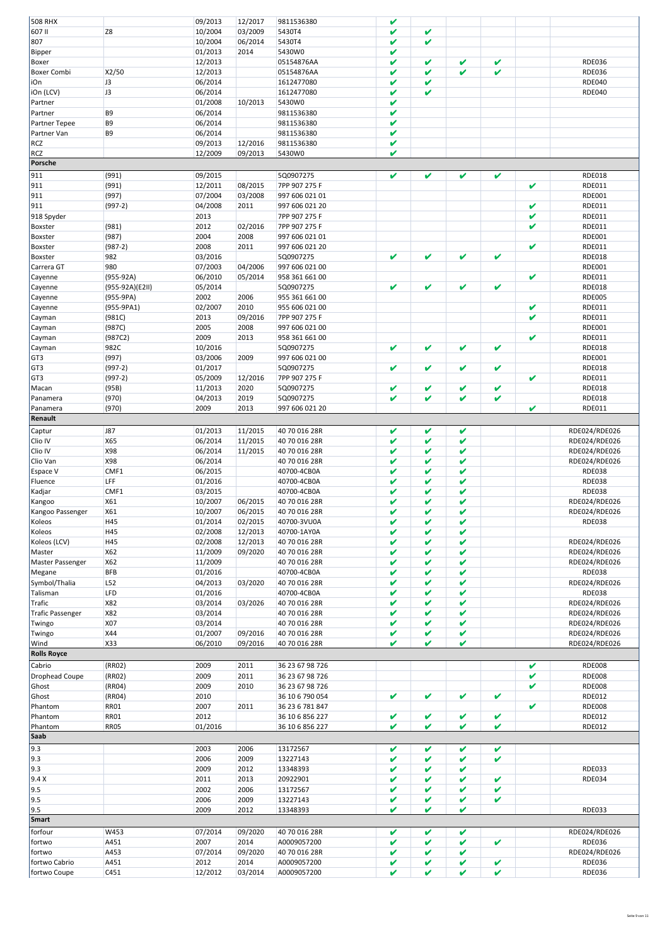| <b>508 RHX</b>                |                 | 09/2013         | 12/2017         | 9811536380                 | V            |   |   |   |   |                                |
|-------------------------------|-----------------|-----------------|-----------------|----------------------------|--------------|---|---|---|---|--------------------------------|
|                               |                 |                 |                 |                            |              |   |   |   |   |                                |
| 607 II                        | Z <sub>8</sub>  | 10/2004         | 03/2009         | 5430T4                     | V            | V |   |   |   |                                |
| 807                           |                 | 10/2004         | 06/2014         | 5430T4                     | V            | V |   |   |   |                                |
| Bipper                        |                 | 01/2013         | 2014            | 5430W0                     | V            |   |   |   |   |                                |
|                               |                 | 12/2013         |                 | 05154876AA                 | V            | V | V | V |   | <b>RDE036</b>                  |
| Boxer                         |                 |                 |                 |                            |              |   |   |   |   |                                |
| <b>Boxer Combi</b>            | X2/50           | 12/2013         |                 | 05154876AA                 | V            | V | V | V |   | <b>RDE036</b>                  |
| iOn                           | J3              | 06/2014         |                 | 1612477080                 | V            | V |   |   |   | <b>RDE040</b>                  |
| iOn (LCV)                     | J3              | 06/2014         |                 | 1612477080                 | V            | V |   |   |   | <b>RDE040</b>                  |
|                               |                 |                 |                 |                            |              |   |   |   |   |                                |
| Partner                       |                 | 01/2008         | 10/2013         | 5430W0                     | V            |   |   |   |   |                                |
| Partner                       | B <sub>9</sub>  | 06/2014         |                 | 9811536380                 | V            |   |   |   |   |                                |
| Partner Tepee                 | B9              | 06/2014         |                 | 9811536380                 | V            |   |   |   |   |                                |
|                               |                 |                 |                 |                            |              |   |   |   |   |                                |
| Partner Van                   | B9              | 06/2014         |                 | 9811536380                 | V            |   |   |   |   |                                |
| <b>RCZ</b>                    |                 | 09/2013         | 12/2016         | 9811536380                 | V            |   |   |   |   |                                |
| <b>RCZ</b>                    |                 | 12/2009         | 09/2013         | 5430W0                     | V            |   |   |   |   |                                |
|                               |                 |                 |                 |                            |              |   |   |   |   |                                |
| Porsche                       |                 |                 |                 |                            |              |   |   |   |   |                                |
| 911                           | (991)           | 09/2015         |                 | 5Q0907275                  | V            | V | V | V |   | <b>RDE018</b>                  |
| 911                           | (991)           | 12/2011         |                 | 7PP 907 275 F              |              |   |   |   | V |                                |
|                               |                 |                 | 08/2015         |                            |              |   |   |   |   | <b>RDE011</b>                  |
| 911                           | (997)           | 07/2004         | 03/2008         | 997 606 021 01             |              |   |   |   |   | <b>RDE001</b>                  |
| 911                           | $(997-2)$       | 04/2008         | 2011            | 997 606 021 20             |              |   |   |   | V | <b>RDE011</b>                  |
|                               |                 | 2013            |                 | 7PP 907 275 F              |              |   |   |   | V | <b>RDE011</b>                  |
| 918 Spyder                    |                 |                 |                 |                            |              |   |   |   |   |                                |
| Boxster                       | (981)           | 2012            | 02/2016         | 7PP 907 275 F              |              |   |   |   | V | <b>RDE011</b>                  |
| Boxster                       | (987)           | 2004            | 2008            | 997 606 021 01             |              |   |   |   |   | <b>RDE001</b>                  |
|                               | $(987-2)$       | 2008            | 2011            | 997 606 021 20             |              |   |   |   | V | <b>RDE011</b>                  |
| Boxster                       |                 |                 |                 |                            |              |   |   |   |   |                                |
| Boxster                       | 982             | 03/2016         |                 | 5Q0907275                  | V            | V | V | V |   | <b>RDE018</b>                  |
| Carrera GT                    | 980             | 07/2003         | 04/2006         | 997 606 021 00             |              |   |   |   |   | <b>RDE001</b>                  |
|                               | $(955-92A)$     | 06/2010         | 05/2014         | 958 361 661 00             |              |   |   |   | V | <b>RDE011</b>                  |
| Cayenne                       |                 |                 |                 |                            |              |   |   |   |   |                                |
| Cayenne                       | (955-92A)(E2II) | 05/2014         |                 | 5Q0907275                  | V            | V | V | V |   | <b>RDE018</b>                  |
| Cayenne                       | $(955-9PA)$     | 2002            | 2006            | 955 361 661 00             |              |   |   |   |   | <b>RDE005</b>                  |
|                               |                 | 02/2007         | 2010            | 955 606 021 00             |              |   |   |   | V | <b>RDE011</b>                  |
| Cayenne                       | (955-9PA1)      |                 |                 |                            |              |   |   |   |   |                                |
| Cayman                        | (981C)          | 2013            | 09/2016         | 7PP 907 275 F              |              |   |   |   | V | <b>RDE011</b>                  |
| Cayman                        | (987C)          | 2005            | 2008            | 997 606 021 00             |              |   |   |   |   | <b>RDE001</b>                  |
| Cayman                        | (987C2)         | 2009            | 2013            | 958 361 661 00             |              |   |   |   | V | <b>RDE011</b>                  |
|                               |                 |                 |                 |                            |              |   |   |   |   |                                |
| Cayman                        | 982C            | 10/2016         |                 | 5Q0907275                  | V            | V | V | V |   | <b>RDE018</b>                  |
| GT3                           | (997)           | 03/2006         | 2009            | 997 606 021 00             |              |   |   |   |   | <b>RDE001</b>                  |
| GT3                           | $(997-2)$       | 01/2017         |                 | 5Q0907275                  | V            | V | V | V |   | <b>RDE018</b>                  |
|                               |                 |                 |                 |                            |              |   |   |   |   |                                |
| GT3                           | $(997-2)$       | 05/2009         | 12/2016         | 7PP 907 275 F              |              |   |   |   | V | <b>RDE011</b>                  |
| Macan                         | (95B)           | 11/2013         | 2020            | 5Q0907275                  | V            | V | V | V |   | <b>RDE018</b>                  |
| Panamera                      | (970)           | 04/2013         | 2019            | 5Q0907275                  | V            | V | V | V |   | <b>RDE018</b>                  |
|                               |                 |                 |                 |                            |              |   |   |   |   |                                |
| Panamera                      | (970)           | 2009            | 2013            | 997 606 021 20             |              |   |   |   | V | RDE011                         |
| Renault                       |                 |                 |                 |                            |              |   |   |   |   |                                |
|                               |                 |                 |                 |                            |              |   |   |   |   |                                |
| Captur                        | <b>J87</b>      | 01/2013         | 11/2015         | 40 70 016 28R              | V            | V | V |   |   | RDE024/RDE026                  |
| Clio IV                       | X65             | 06/2014         | 11/2015         | 40 70 016 28R              | V            | V | V |   |   | RDE024/RDE026                  |
|                               |                 |                 |                 |                            |              |   |   |   |   |                                |
|                               |                 |                 |                 |                            |              |   |   |   |   |                                |
| Clio IV                       | X98             | 06/2014         | 11/2015         | 40 70 016 28R              | V            | V | V |   |   | RDE024/RDE026                  |
| Clio Van                      | X98             | 06/2014         |                 | 40 70 016 28R              | V            | V | V |   |   | RDE024/RDE026                  |
| <b>Espace V</b>               | CMF1            | 06/2015         |                 | 40700-4CB0A                | V            | V | V |   |   | <b>RDE038</b>                  |
|                               |                 |                 |                 |                            |              |   |   |   |   |                                |
| Fluence                       | LFF             | 01/2016         |                 | 40700-4CB0A                | V            | V | V |   |   | <b>RDE038</b>                  |
| Kadjar                        | CMF1            | 03/2015         |                 | 40700-4CB0A                | V            | V | V |   |   | <b>RDE038</b>                  |
| Kangoo                        | X61             | 10/2007         | 06/2015         | 40 70 016 28R              | V            | V | V |   |   | RDE024/RDE026                  |
|                               |                 |                 |                 |                            |              |   |   |   |   |                                |
| Kangoo Passenger              | X61             | 10/2007         | 06/2015         | 40 70 016 28R              | V            | V | V |   |   | RDE024/RDE026                  |
| Koleos                        | H45             | 01/2014         | 02/2015         | 40700-3VU0A                | v            | V | v |   |   | RDE038                         |
| Koleos                        | H45             | 02/2008         | 12/2013         | 40700-1AY0A                | V            | V | V |   |   |                                |
|                               |                 |                 |                 |                            |              |   |   |   |   |                                |
| Koleos (LCV)                  | H45             | 02/2008         | 12/2013         | 40 70 016 28R              | V            | V | V |   |   | RDE024/RDE026                  |
| Master                        | X62             | 11/2009         | 09/2020         | 40 70 016 28R              | V            | V | V |   |   | RDE024/RDE026                  |
|                               |                 |                 |                 |                            | V            | V | V |   |   | RDE024/RDE026                  |
| Master Passenger              | X62             | 11/2009         |                 | 40 70 016 28R              |              |   |   |   |   |                                |
| Megane                        | <b>BFB</b>      | 01/2016         |                 | 40700-4CB0A                | V            | V | V |   |   | <b>RDE038</b>                  |
| Symbol/Thalia                 | L52             | 04/2013         | 03/2020         | 40 70 016 28R              | V            | V | V |   |   | RDE024/RDE026                  |
| Talisman                      | LFD             | 01/2016         |                 | 40700-4CB0A                | V            | V | V |   |   | <b>RDE038</b>                  |
|                               |                 |                 |                 |                            |              |   |   |   |   |                                |
| Trafic                        | X82             | 03/2014         | 03/2026         | 40 70 016 28R              | V            | V | V |   |   | RDE024/RDE026                  |
| <b>Trafic Passenger</b>       | X82             | 03/2014         |                 | 40 70 016 28R              | V            | V | V |   |   | RDE024/RDE026                  |
| Twingo                        | X07             | 03/2014         |                 | 40 70 016 28R              | V            | V | V |   |   | RDE024/RDE026                  |
|                               |                 |                 |                 |                            | V            | V | V |   |   |                                |
| Twingo                        | <b>X44</b>      | 01/2007         | 09/2016         | 40 70 016 28R              |              |   |   |   |   | RDE024/RDE026                  |
| Wind                          | X33             | 06/2010         | 09/2016         | 40 70 016 28R              | V            | V | V |   |   | RDE024/RDE026                  |
| <b>Rolls Royce</b>            |                 |                 |                 |                            |              |   |   |   |   |                                |
|                               |                 |                 |                 |                            |              |   |   |   |   |                                |
| Cabrio                        | (RR02)          | 2009            | 2011            | 36 23 67 98 726            |              |   |   |   | V | <b>RDE008</b>                  |
| Drophead Coupe                | (RR02)          | 2009            | 2011            | 36 23 67 98 726            |              |   |   |   | V | <b>RDE008</b>                  |
| Ghost                         | (RR04)          | 2009            | 2010            | 36 23 67 98 726            |              |   |   |   | V | <b>RDE008</b>                  |
|                               |                 |                 |                 |                            |              |   |   |   |   |                                |
| Ghost                         | (RR04)          | 2010            |                 | 36 10 6 790 054            | $\checkmark$ | V | V | V |   | RDE012                         |
| Phantom                       | <b>RR01</b>     | 2007            | 2011            | 36 23 6 781 847            |              |   |   |   | V | <b>RDE008</b>                  |
| Phantom                       | <b>RR01</b>     | 2012            |                 | 36 10 6 856 227            | V            | V | V | V |   | RDE012                         |
|                               |                 |                 |                 |                            |              |   |   |   |   |                                |
| Phantom                       | <b>RR05</b>     | 01/2016         |                 | 36 10 6 856 227            | V            | V | V | V |   | RDE012                         |
| <b>Saab</b>                   |                 |                 |                 |                            |              |   |   |   |   |                                |
|                               |                 |                 |                 |                            |              |   |   |   |   |                                |
| 9.3                           |                 | 2003            | 2006            | 13172567                   | V            | V | V | V |   |                                |
| 9.3                           |                 | 2006            | 2009            | 13227143                   | V            | V | V | V |   |                                |
| 9.3                           |                 | 2009            | 2012            | 13348393                   | V            | V | V |   |   | <b>RDE033</b>                  |
|                               |                 |                 |                 |                            |              |   |   |   |   |                                |
| 9.4 X                         |                 | 2011            | 2013            | 20922901                   | V            | V | V | V |   | <b>RDE034</b>                  |
| 9.5                           |                 | 2002            | 2006            | 13172567                   | V            | V | V | V |   |                                |
| 9.5                           |                 | 2006            | 2009            | 13227143                   | V            | V | V | V |   |                                |
|                               |                 |                 |                 |                            |              |   |   |   |   |                                |
| 9.5                           |                 | 2009            | 2012            | 13348393                   | V            | v | V |   |   | <b>RDE033</b>                  |
| <b>Smart</b>                  |                 |                 |                 |                            |              |   |   |   |   |                                |
|                               | W453            | 07/2014         | 09/2020         | 40 70 016 28R              | V            | V | V |   |   | RDE024/RDE026                  |
| forfour                       |                 |                 |                 |                            |              |   |   |   |   |                                |
| fortwo                        | A451            | 2007            | 2014            | A0009057200                | V            | V | V | V |   | <b>RDE036</b>                  |
| fortwo                        | A453            | 07/2014         | 09/2020         | 40 70 016 28R              | V            | V | V |   |   | RDE024/RDE026                  |
|                               |                 |                 |                 |                            |              | V | V | V |   |                                |
| fortwo Cabrio<br>fortwo Coupe | A451<br>C451    | 2012<br>12/2012 | 2014<br>03/2014 | A0009057200<br>A0009057200 | V<br>V       | V | V | V |   | <b>RDE036</b><br><b>RDE036</b> |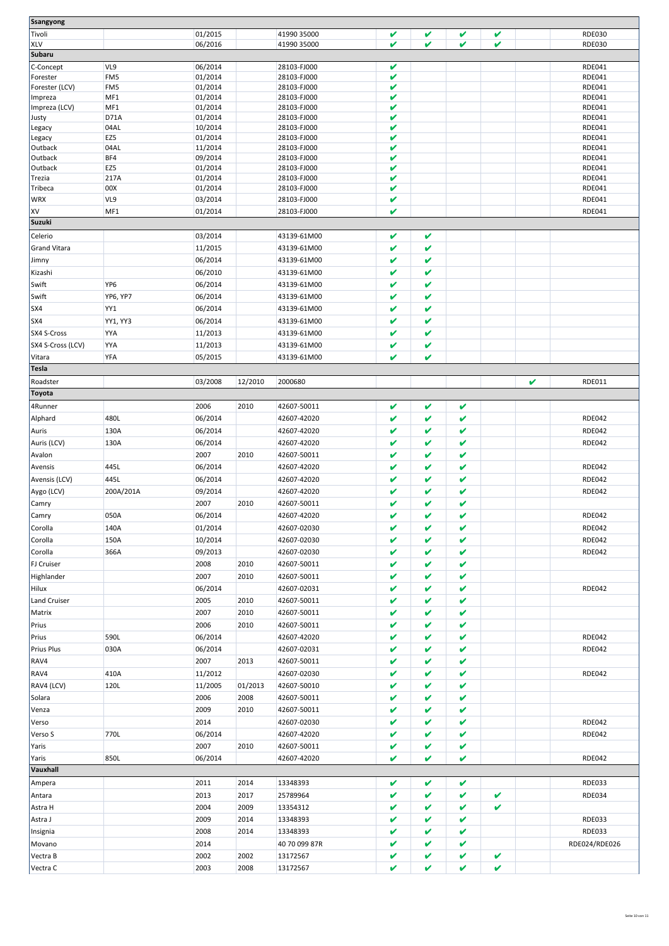| Ssangyong            |                 |              |              |                      |   |              |   |   |   |               |
|----------------------|-----------------|--------------|--------------|----------------------|---|--------------|---|---|---|---------------|
|                      |                 |              |              |                      |   |              |   |   |   |               |
| Tivoli               |                 | 01/2015      |              | 41990 35000          | v | V            | V | V |   | <b>RDE030</b> |
| XLV                  |                 | 06/2016      |              | 41990 35000          | V | V            | V | V |   | <b>RDE030</b> |
| <b>Subaru</b>        |                 |              |              |                      |   |              |   |   |   |               |
| C-Concept            | VL9             | 06/2014      |              | 28103-FJ000          | V |              |   |   |   | RDE041        |
| Forester             | FM5             | 01/2014      |              | 28103-FJ000          | V |              |   |   |   | RDE041        |
| Forester (LCV)       | FM5             | 01/2014      |              | 28103-FJ000          | V |              |   |   |   | RDE041        |
| Impreza              | MF1             | 01/2014      |              | 28103-FJ000          | V |              |   |   |   | <b>RDE041</b> |
| Impreza (LCV)        | MF1             | 01/2014      |              | 28103-FJ000          | V |              |   |   |   | <b>RDE041</b> |
| Justy                | D71A            | 01/2014      |              | 28103-FJ000          | V |              |   |   |   | <b>RDE041</b> |
| Legacy               | 04AL            | 10/2014      |              | 28103-FJ000          | V |              |   |   |   | <b>RDE041</b> |
| Legacy               | EZ5             | 01/2014      |              | 28103-FJ000          | V |              |   |   |   | <b>RDE041</b> |
| Outback              | 04AL            | 11/2014      |              | 28103-FJ000          | V |              |   |   |   | RDE041        |
| Outback              | BF4             | 09/2014      |              | 28103-FJ000          | V |              |   |   |   | <b>RDE041</b> |
| Outback              | EZ5             | 01/2014      |              | 28103-FJ000          | V |              |   |   |   | <b>RDE041</b> |
| Trezia               | 217A            | 01/2014      |              | 28103-FJ000          | V |              |   |   |   | <b>RDE041</b> |
| Tribeca              | 00X             | 01/2014      |              | 28103-FJ000          | V |              |   |   |   | RDE041        |
| <b>WRX</b>           | VL9             | 03/2014      |              | 28103-FJ000          | V |              |   |   |   | <b>RDE041</b> |
| XV                   | MF1             | 01/2014      |              | 28103-FJ000          | V |              |   |   |   | <b>RDE041</b> |
|                      |                 |              |              |                      |   |              |   |   |   |               |
| <b>Suzuki</b>        |                 |              |              |                      |   |              |   |   |   |               |
| Celerio              |                 | 03/2014      |              | 43139-61M00          | v | v            |   |   |   |               |
| <b>Grand Vitara</b>  |                 | 11/2015      |              | 43139-61M00          | V | V            |   |   |   |               |
| Jimny                |                 | 06/2014      |              | 43139-61M00          | V | V            |   |   |   |               |
|                      |                 |              |              |                      |   | V            |   |   |   |               |
| Kizashi              |                 | 06/2010      |              | 43139-61M00          | V |              |   |   |   |               |
| Swift                | YP <sub>6</sub> | 06/2014      |              | 43139-61M00          | V | V            |   |   |   |               |
| Swift                | YP6, YP7        | 06/2014      |              | 43139-61M00          | V | $\checkmark$ |   |   |   |               |
| SX4                  | YY1             | 06/2014      |              | 43139-61M00          | v | V            |   |   |   |               |
| SX4                  | YY1, YY3        | 06/2014      |              | 43139-61M00          | V | V            |   |   |   |               |
| SX4 S-Cross          |                 |              |              |                      | V | V            |   |   |   |               |
|                      | YYA             | 11/2013      |              | 43139-61M00          |   |              |   |   |   |               |
| SX4 S-Cross (LCV)    | YYA             | 11/2013      |              | 43139-61M00          | V | V            |   |   |   |               |
| Vitara               | YFA             | 05/2015      |              | 43139-61M00          | V | v            |   |   |   |               |
| <b>Tesla</b>         |                 |              |              |                      |   |              |   |   |   |               |
| Roadster             |                 | 03/2008      | 12/2010      | 2000680              |   |              |   |   | V | RDE011        |
|                      |                 |              |              |                      |   |              |   |   |   |               |
| <b>Toyota</b>        |                 |              |              |                      |   |              |   |   |   |               |
| 4Runner              |                 | 2006         | 2010         | 42607-50011          | V | V            | V |   |   |               |
| Alphard              | 480L            | 06/2014      |              | 42607-42020          | V | V            | V |   |   | <b>RDE042</b> |
| Auris                | 130A            | 06/2014      |              | 42607-42020          | V | V            | V |   |   | <b>RDE042</b> |
|                      |                 |              |              |                      |   |              |   |   |   |               |
| Auris (LCV)          | 130A            | 06/2014      |              | 42607-42020          | V | V            | V |   |   | <b>RDE042</b> |
| Avalon               |                 | 2007         | 2010         | 42607-50011          | V | V            | V |   |   |               |
| Avensis              | 445L            | 06/2014      |              | 42607-42020          | V | V            | V |   |   | <b>RDE042</b> |
| Avensis (LCV)        | 445L            | 06/2014      |              | 42607-42020          | v | V            | V |   |   | <b>RDE042</b> |
| Aygo (LCV)           | 200A/201A       | 09/2014      |              | 42607-42020          | V | V            | V |   |   | <b>RDE042</b> |
|                      |                 | 2007         |              | 42607-50011          | V | V            | V |   |   |               |
| Camry                |                 |              | 2010         |                      |   |              |   |   |   |               |
| Camry                | 050A            | 06/2014      |              | 42607-42020          | v | V            | V |   |   | <b>RDE042</b> |
| Corolla              | 140A            | 01/2014      |              | 42607-02030          | V | V            | V |   |   | <b>RDE042</b> |
| Corolla              | 150A            | 10/2014      |              | 42607-02030          | V | V            | V |   |   | <b>RDE042</b> |
| Corolla              | 366A            | 09/2013      |              | 42607-02030          | V | V            | V |   |   | <b>RDE042</b> |
|                      |                 |              |              |                      | V | V            | V |   |   |               |
| <b>FJ Cruiser</b>    |                 | 2008         | 2010         | 42607-50011          |   |              |   |   |   |               |
| Highlander           |                 | 2007         | 2010         | 42607-50011          | V | V            | V |   |   |               |
| Hilux                |                 | 06/2014      |              | 42607-02031          | V | v            | V |   |   | <b>RDE042</b> |
| <b>Land Cruiser</b>  |                 | 2005         | 2010         | 42607-50011          | V | V            | V |   |   |               |
| Matrix               |                 | 2007         | 2010         | 42607-50011          | V | V            | V |   |   |               |
| Prius                |                 | 2006         | 2010         |                      | V | V            | V |   |   |               |
|                      |                 |              |              | 42607-50011          |   |              |   |   |   |               |
| Prius                | 590L            | 06/2014      |              | 42607-42020          | V | V            | V |   |   | <b>RDE042</b> |
| Prius Plus           | 030A            | 06/2014      |              | 42607-02031          | V | v            | V |   |   | <b>RDE042</b> |
| RAV4                 |                 | 2007         | 2013         | 42607-50011          | V | V            | V |   |   |               |
| RAV4                 |                 |              |              | 42607-02030          |   | V            | V |   |   | <b>RDE042</b> |
|                      |                 |              |              |                      | V |              |   |   |   |               |
|                      | 410A            | 11/2012      |              |                      |   |              |   |   |   |               |
| RAV4 (LCV)           | 120L            | 11/2005      | 01/2013      | 42607-50010          | V | V            | V |   |   |               |
| Solara               |                 | 2006         | 2008         | 42607-50011          | V | V            | V |   |   |               |
| Venza                |                 | 2009         | 2010         | 42607-50011          | V | v            | V |   |   |               |
| Verso                |                 | 2014         |              | 42607-02030          | V | V            | V |   |   | <b>RDE042</b> |
| Verso S              | 770L            |              |              |                      | V | V            | V |   |   | <b>RDE042</b> |
|                      |                 | 06/2014      |              | 42607-42020          |   |              |   |   |   |               |
| Yaris                |                 | 2007         | 2010         | 42607-50011          | V | V            | V |   |   |               |
| Yaris                | 850L            | 06/2014      |              | 42607-42020          | V | V            | V |   |   | <b>RDE042</b> |
| Vauxhall             |                 |              |              |                      |   |              |   |   |   |               |
| Ampera               |                 | 2011         | 2014         | 13348393             | V | $\checkmark$ | V |   |   | RDE033        |
| Antara               |                 | 2013         | 2017         | 25789964             | V | V            | V | V |   | RDE034        |
|                      |                 |              |              |                      |   |              |   |   |   |               |
| Astra H              |                 | 2004         | 2009         | 13354312             | V | V            | V | V |   |               |
| Astra J              |                 | 2009         | 2014         | 13348393             | V | V            | V |   |   | RDE033        |
| Insignia             |                 | 2008         | 2014         | 13348393             | V | V            | V |   |   | <b>RDE033</b> |
| Movano               |                 | 2014         |              | 40 70 099 87R        | V | V            | V |   |   | RDE024/RDE026 |
|                      |                 |              |              |                      | V | V            | V | V |   |               |
| Vectra B<br>Vectra C |                 | 2002<br>2003 | 2002<br>2008 | 13172567<br>13172567 | V | V            | V | V |   |               |